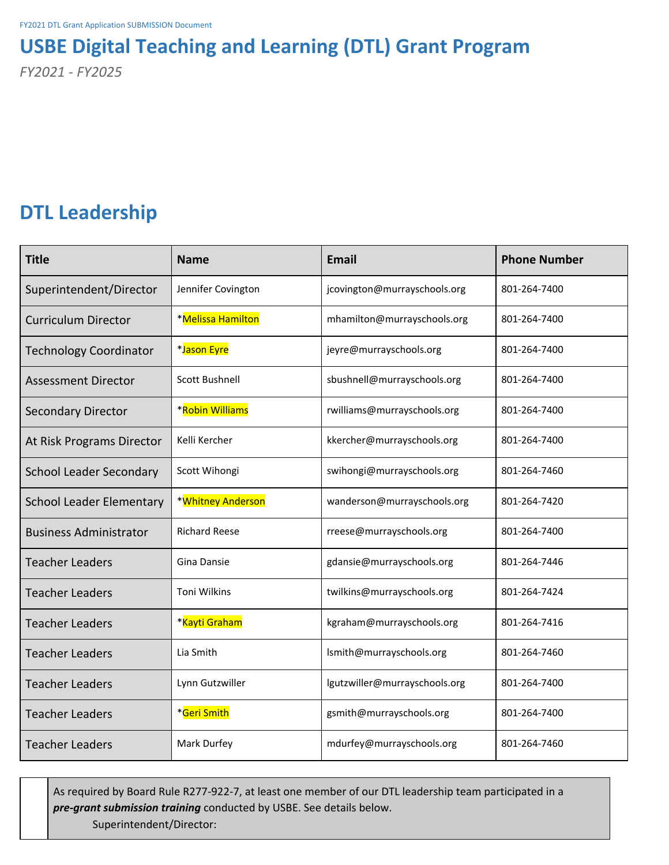# **USBE Digital Teaching and Learning (DTL) Grant Program**

*FY2021 - FY2025*

# **DTL Leadership**

| <b>Title</b>                    | <b>Name</b>           | <b>Email</b>                  | <b>Phone Number</b> |
|---------------------------------|-----------------------|-------------------------------|---------------------|
| Superintendent/Director         | Jennifer Covington    | jcovington@murrayschools.org  | 801-264-7400        |
| <b>Curriculum Director</b>      | *Melissa Hamilton     | mhamilton@murrayschools.org   | 801-264-7400        |
| <b>Technology Coordinator</b>   | *Jason Eyre           | jeyre@murrayschools.org       | 801-264-7400        |
| <b>Assessment Director</b>      | <b>Scott Bushnell</b> | sbushnell@murrayschools.org   | 801-264-7400        |
| <b>Secondary Director</b>       | *Robin Williams       | rwilliams@murrayschools.org   | 801-264-7400        |
| At Risk Programs Director       | Kelli Kercher         | kkercher@murrayschools.org    | 801-264-7400        |
| <b>School Leader Secondary</b>  | Scott Wihongi         | swihongi@murrayschools.org    | 801-264-7460        |
| <b>School Leader Elementary</b> | *Whitney Anderson     | wanderson@murrayschools.org   | 801-264-7420        |
| <b>Business Administrator</b>   | <b>Richard Reese</b>  | rreese@murrayschools.org      | 801-264-7400        |
| <b>Teacher Leaders</b>          | Gina Dansie           | gdansie@murrayschools.org     | 801-264-7446        |
| <b>Teacher Leaders</b>          | <b>Toni Wilkins</b>   | twilkins@murrayschools.org    | 801-264-7424        |
| <b>Teacher Leaders</b>          | *Kayti Graham         | kgraham@murrayschools.org     | 801-264-7416        |
| <b>Teacher Leaders</b>          | Lia Smith             | lsmith@murrayschools.org      | 801-264-7460        |
| <b>Teacher Leaders</b>          | Lynn Gutzwiller       | lgutzwiller@murrayschools.org | 801-264-7400        |
| <b>Teacher Leaders</b>          | *Geri Smith           | gsmith@murrayschools.org      | 801-264-7400        |
| <b>Teacher Leaders</b>          | Mark Durfey           | mdurfey@murrayschools.org     | 801-264-7460        |

As required by Board Rule R277-922-7, at least one member of our DTL leadership team participated in a *pre-grant submission training* conducted by USBE. See details below. Superintendent/Director: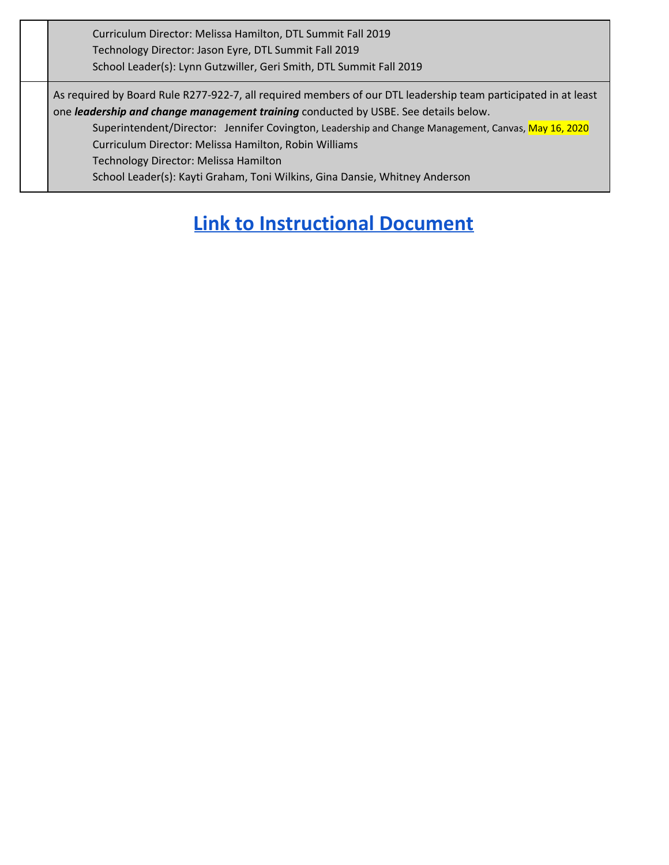Curriculum Director: Melissa Hamilton, DTL Summit Fall 2019 Technology Director: Jason Eyre, DTL Summit Fall 2019 School Leader(s): Lynn Gutzwiller, Geri Smith, DTL Summit Fall 2019

As required by Board Rule R277-922-7, all required members of our DTL leadership team participated in at least one *leadership and change management training* conducted by USBE. See details below.

Superintendent/Director: Jennifer Covington, Leadership and Change Management, Canvas, May 16, 2020 Curriculum Director: Melissa Hamilton, Robin Williams

Technology Director: Melissa Hamilton

School Leader(s): Kayti Graham, Toni Wilkins, Gina Dansie, Whitney Anderson

# **Link to [Instructional](https://docs.google.com/document/d/1tM0puL1-icE02TjeM15PZR1y-TesE85i09hFCMtKwPE/edit?usp=sharing) Document**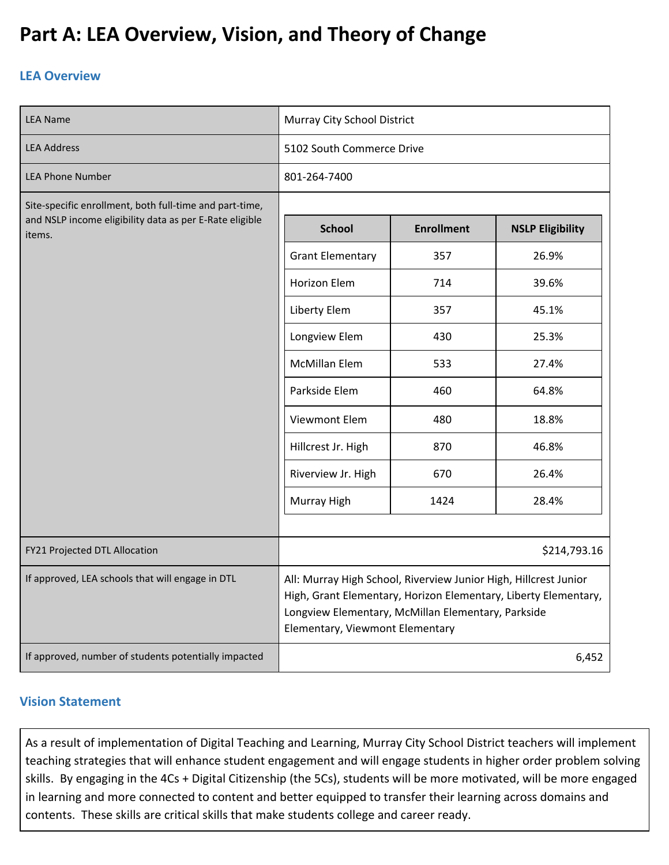# **Part A: LEA Overview, Vision, and Theory of Change**

## **LEA Overview**

| <b>LEA Name</b>                                                   | Murray City School District                                                                                                                                                                                                  |                   |                         |
|-------------------------------------------------------------------|------------------------------------------------------------------------------------------------------------------------------------------------------------------------------------------------------------------------------|-------------------|-------------------------|
| <b>LEA Address</b>                                                | 5102 South Commerce Drive                                                                                                                                                                                                    |                   |                         |
| <b>LEA Phone Number</b>                                           | 801-264-7400                                                                                                                                                                                                                 |                   |                         |
| Site-specific enrollment, both full-time and part-time,           |                                                                                                                                                                                                                              |                   |                         |
| and NSLP income eligibility data as per E-Rate eligible<br>items. | <b>School</b>                                                                                                                                                                                                                | <b>Enrollment</b> | <b>NSLP Eligibility</b> |
|                                                                   | <b>Grant Elementary</b>                                                                                                                                                                                                      | 357               | 26.9%                   |
|                                                                   | Horizon Elem                                                                                                                                                                                                                 | 714               | 39.6%                   |
|                                                                   | Liberty Elem                                                                                                                                                                                                                 | 357               | 45.1%                   |
|                                                                   | Longview Elem                                                                                                                                                                                                                | 430               | 25.3%                   |
|                                                                   | <b>McMillan Elem</b>                                                                                                                                                                                                         | 533               | 27.4%                   |
|                                                                   | Parkside Elem                                                                                                                                                                                                                | 460               | 64.8%                   |
|                                                                   | Viewmont Elem                                                                                                                                                                                                                | 480               | 18.8%                   |
|                                                                   | Hillcrest Jr. High                                                                                                                                                                                                           | 870               | 46.8%                   |
|                                                                   | Riverview Jr. High                                                                                                                                                                                                           | 670               | 26.4%                   |
|                                                                   | Murray High                                                                                                                                                                                                                  | 1424              | 28.4%                   |
|                                                                   |                                                                                                                                                                                                                              |                   |                         |
| FY21 Projected DTL Allocation                                     |                                                                                                                                                                                                                              |                   | \$214,793.16            |
| If approved, LEA schools that will engage in DTL                  | All: Murray High School, Riverview Junior High, Hillcrest Junior<br>High, Grant Elementary, Horizon Elementary, Liberty Elementary,<br>Longview Elementary, McMillan Elementary, Parkside<br>Elementary, Viewmont Elementary |                   |                         |
| If approved, number of students potentially impacted              |                                                                                                                                                                                                                              |                   | 6,452                   |

## **Vision Statement**

As a result of implementation of Digital Teaching and Learning, Murray City School District teachers will implement teaching strategies that will enhance student engagement and will engage students in higher order problem solving skills. By engaging in the 4Cs + Digital Citizenship (the 5Cs), students will be more motivated, will be more engaged in learning and more connected to content and better equipped to transfer their learning across domains and contents. These skills are critical skills that make students college and career ready.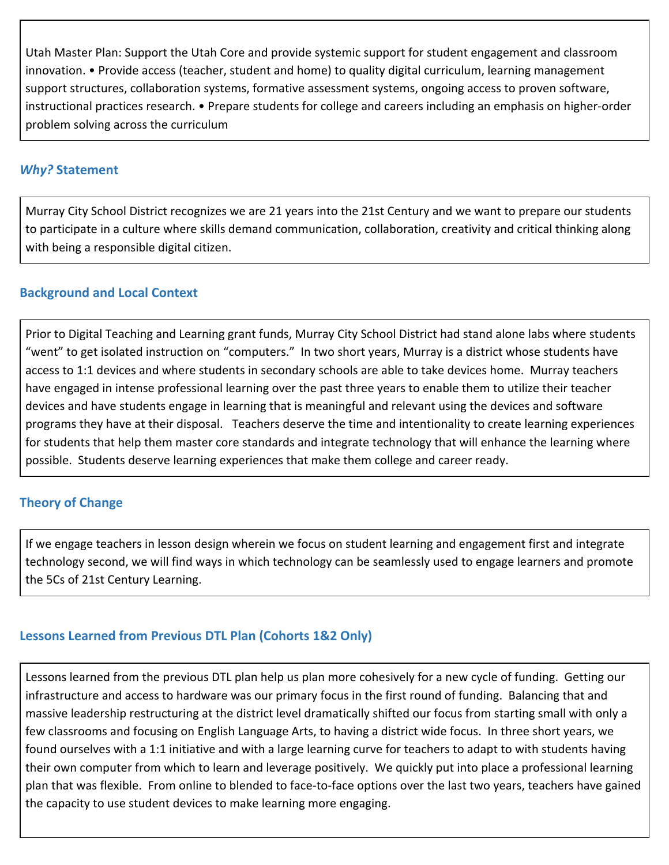Utah Master Plan: Support the Utah Core and provide systemic support for student engagement and classroom innovation. • Provide access (teacher, student and home) to quality digital curriculum, learning management support structures, collaboration systems, formative assessment systems, ongoing access to proven software, instructional practices research. • Prepare students for college and careers including an emphasis on higher-order problem solving across the curriculum

## *Why?* **Statement**

Murray City School District recognizes we are 21 years into the 21st Century and we want to prepare our students to participate in a culture where skills demand communication, collaboration, creativity and critical thinking along with being a responsible digital citizen.

## **Background and Local Context**

Prior to Digital Teaching and Learning grant funds, Murray City School District had stand alone labs where students "went" to get isolated instruction on "computers." In two short years, Murray is a district whose students have access to 1:1 devices and where students in secondary schools are able to take devices home. Murray teachers have engaged in intense professional learning over the past three years to enable them to utilize their teacher devices and have students engage in learning that is meaningful and relevant using the devices and software programs they have at their disposal. Teachers deserve the time and intentionality to create learning experiences for students that help them master core standards and integrate technology that will enhance the learning where possible. Students deserve learning experiences that make them college and career ready.

## **Theory of Change**

If we engage teachers in lesson design wherein we focus on student learning and engagement first and integrate technology second, we will find ways in which technology can be seamlessly used to engage learners and promote the 5Cs of 21st Century Learning.

## **Lessons Learned from Previous DTL Plan (Cohorts 1&2 Only)**

Lessons learned from the previous DTL plan help us plan more cohesively for a new cycle of funding. Getting our infrastructure and access to hardware was our primary focus in the first round of funding. Balancing that and massive leadership restructuring at the district level dramatically shifted our focus from starting small with only a few classrooms and focusing on English Language Arts, to having a district wide focus. In three short years, we found ourselves with a 1:1 initiative and with a large learning curve for teachers to adapt to with students having their own computer from which to learn and leverage positively. We quickly put into place a professional learning plan that was flexible. From online to blended to face-to-face options over the last two years, teachers have gained the capacity to use student devices to make learning more engaging.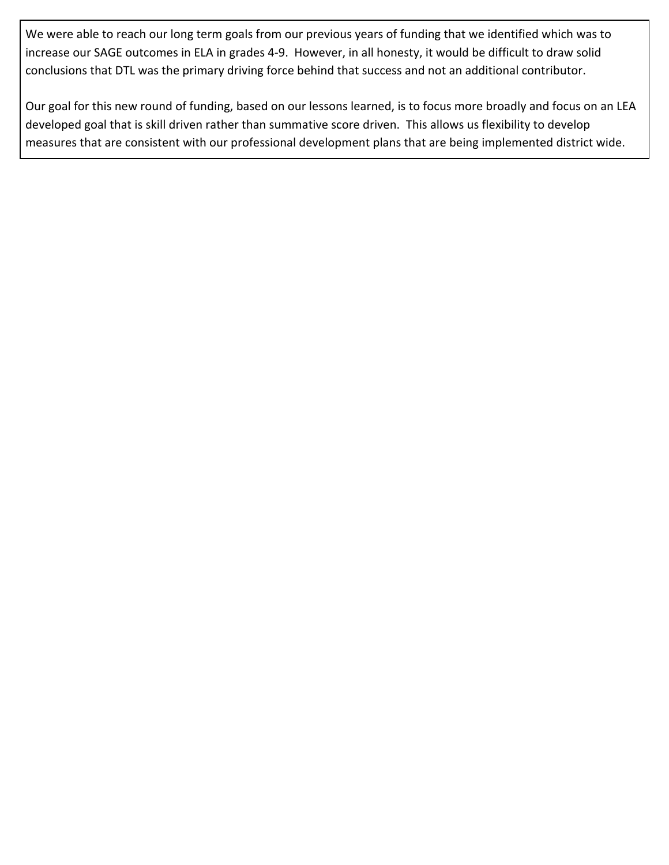We were able to reach our long term goals from our previous years of funding that we identified which was to increase our SAGE outcomes in ELA in grades 4-9. However, in all honesty, it would be difficult to draw solid conclusions that DTL was the primary driving force behind that success and not an additional contributor.

Our goal for this new round of funding, based on our lessons learned, is to focus more broadly and focus on an LEA developed goal that is skill driven rather than summative score driven. This allows us flexibility to develop measures that are consistent with our professional development plans that are being implemented district wide.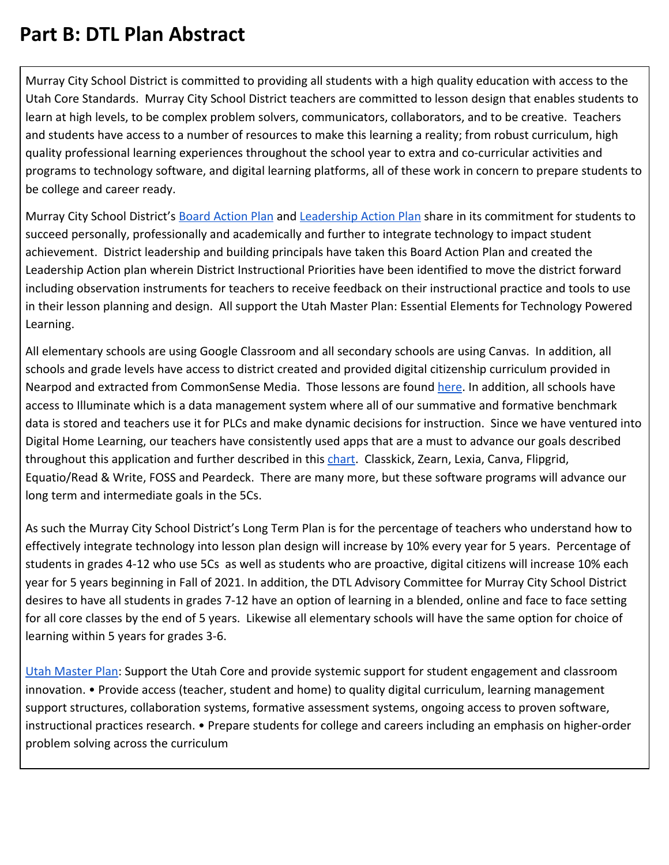## **Part B: DTL Plan Abstract**

Murray City School District is committed to providing all students with a high quality education with access to the Utah Core Standards. Murray City School District teachers are committed to lesson design that enables students to learn at high levels, to be complex problem solvers, communicators, collaborators, and to be creative. Teachers and students have access to a number of resources to make this learning a reality; from robust curriculum, high quality professional learning experiences throughout the school year to extra and co-curricular activities and programs to technology software, and digital learning platforms, all of these work in concern to prepare students to be college and career ready.

Murray City School District's [Board Action Plan](https://www.murrayschools17.org/district-action-plan) and [Leadership Action Plan](https://drive.google.com/file/d/1bX1vVZfaHnIAB19toQAyLlz4GrSmoPyr/view) share in its commitment for students to succeed personally, professionally and academically and further to integrate technology to impact student achievement. District leadership and building principals have taken this Board Action Plan and created the Leadership Action plan wherein District Instructional Priorities have been identified to move the district forward including observation instruments for teachers to receive feedback on their instructional practice and tools to use in their lesson planning and design. All support the Utah Master Plan: Essential Elements for Technology Powered Learning.

All elementary schools are using Google Classroom and all secondary schools are using Canvas. In addition, all schools and grade levels have access to district created and provided digital citizenship curriculum provided in Nearpod and extracted from CommonSense Media. Those lessons are found [here](https://drive.google.com/file/d/1trYTtqkupbB4LzYiXg3jChDfkdBbhoss/view?usp=sharing). In addition, all schools have access to Illuminate which is a data management system where all of our summative and formative benchmark data is stored and teachers use it for PLCs and make dynamic decisions for instruction. Since we have ventured into Digital Home Learning, our teachers have consistently used apps that are a must to advance our goals described throughout this application and further described in this [chart.](https://docs.google.com/spreadsheets/d/1pPYEmD1XRSf63MBjNvWhuVdACkR1upq1tSbncpJEvpk/view) Classkick, Zearn, Lexia, Canva, Flipgrid, Equatio/Read & Write, FOSS and Peardeck. There are many more, but these software programs will advance our long term and intermediate goals in the 5Cs.

As such the Murray City School District's Long Term Plan is for the percentage of teachers who understand how to effectively integrate technology into lesson plan design will increase by 10% every year for 5 years. Percentage of students in grades 4-12 who use 5Cs as well as students who are proactive, digital citizens will increase 10% each year for 5 years beginning in Fall of 2021. In addition, the DTL Advisory Committee for Murray City School District desires to have all students in grades 7-12 have an option of learning in a blended, online and face to face setting for all core classes by the end of 5 years. Likewise all elementary schools will have the same option for choice of learning within 5 years for grades 3-6.

[Utah Master Plan](https://www.uen.org/digital-learning/downloads/Utah_Essential_Elements_Technology_Powered_Learning.pdf): Support the Utah Core and provide systemic support for student engagement and classroom innovation. • Provide access (teacher, student and home) to quality digital curriculum, learning management support structures, collaboration systems, formative assessment systems, ongoing access to proven software, instructional practices research. • Prepare students for college and careers including an emphasis on higher-order problem solving across the curriculum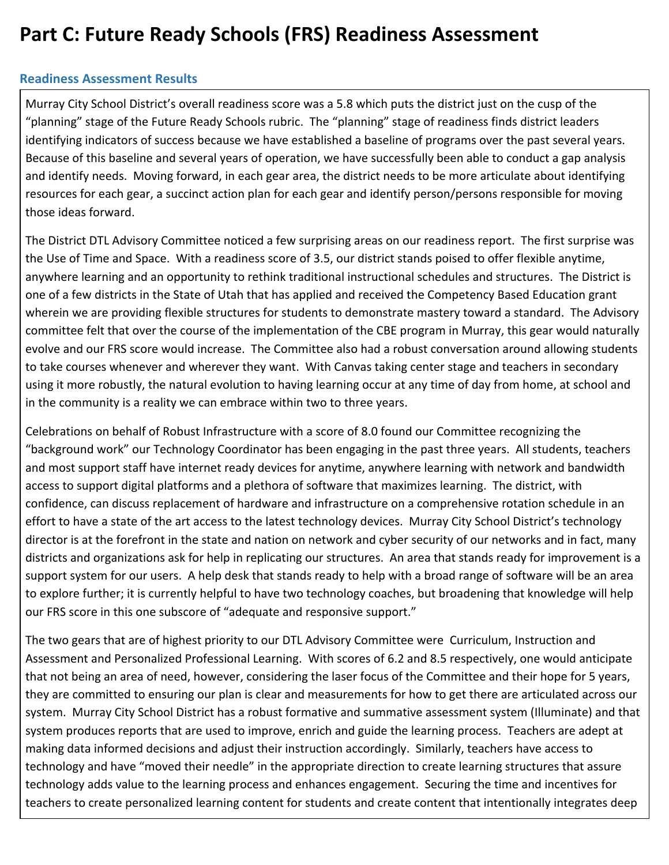## **Part C: Future Ready Schools (FRS) Readiness Assessment**

## **Readiness Assessment Results**

Murray City School District's overall readiness score was a 5.8 which puts the district just on the cusp of the "planning" stage of the Future Ready Schools rubric. The "planning" stage of readiness finds district leaders identifying indicators of success because we have established a baseline of programs over the past several years. Because of this baseline and several years of operation, we have successfully been able to conduct a gap analysis and identify needs. Moving forward, in each gear area, the district needs to be more articulate about identifying resources for each gear, a succinct action plan for each gear and identify person/persons responsible for moving those ideas forward.

The District DTL Advisory Committee noticed a few surprising areas on our readiness report. The first surprise was the Use of Time and Space. With a readiness score of 3.5, our district stands poised to offer flexible anytime, anywhere learning and an opportunity to rethink traditional instructional schedules and structures. The District is one of a few districts in the State of Utah that has applied and received the Competency Based Education grant wherein we are providing flexible structures for students to demonstrate mastery toward a standard. The Advisory committee felt that over the course of the implementation of the CBE program in Murray, this gear would naturally evolve and our FRS score would increase. The Committee also had a robust conversation around allowing students to take courses whenever and wherever they want. With Canvas taking center stage and teachers in secondary using it more robustly, the natural evolution to having learning occur at any time of day from home, at school and in the community is a reality we can embrace within two to three years.

Celebrations on behalf of Robust Infrastructure with a score of 8.0 found our Committee recognizing the "background work" our Technology Coordinator has been engaging in the past three years. All students, teachers and most support staff have internet ready devices for anytime, anywhere learning with network and bandwidth access to support digital platforms and a plethora of software that maximizes learning. The district, with confidence, can discuss replacement of hardware and infrastructure on a comprehensive rotation schedule in an effort to have a state of the art access to the latest technology devices. Murray City School District's technology director is at the forefront in the state and nation on network and cyber security of our networks and in fact, many districts and organizations ask for help in replicating our structures. An area that stands ready for improvement is a support system for our users. A help desk that stands ready to help with a broad range of software will be an area to explore further; it is currently helpful to have two technology coaches, but broadening that knowledge will help our FRS score in this one subscore of "adequate and responsive support."

The two gears that are of highest priority to our DTL Advisory Committee were Curriculum, Instruction and Assessment and Personalized Professional Learning. With scores of 6.2 and 8.5 respectively, one would anticipate that not being an area of need, however, considering the laser focus of the Committee and their hope for 5 years, they are committed to ensuring our plan is clear and measurements for how to get there are articulated across our system. Murray City School District has a robust formative and summative assessment system (Illuminate) and that system produces reports that are used to improve, enrich and guide the learning process. Teachers are adept at making data informed decisions and adjust their instruction accordingly. Similarly, teachers have access to technology and have "moved their needle" in the appropriate direction to create learning structures that assure technology adds value to the learning process and enhances engagement. Securing the time and incentives for teachers to create personalized learning content for students and create content that intentionally integrates deep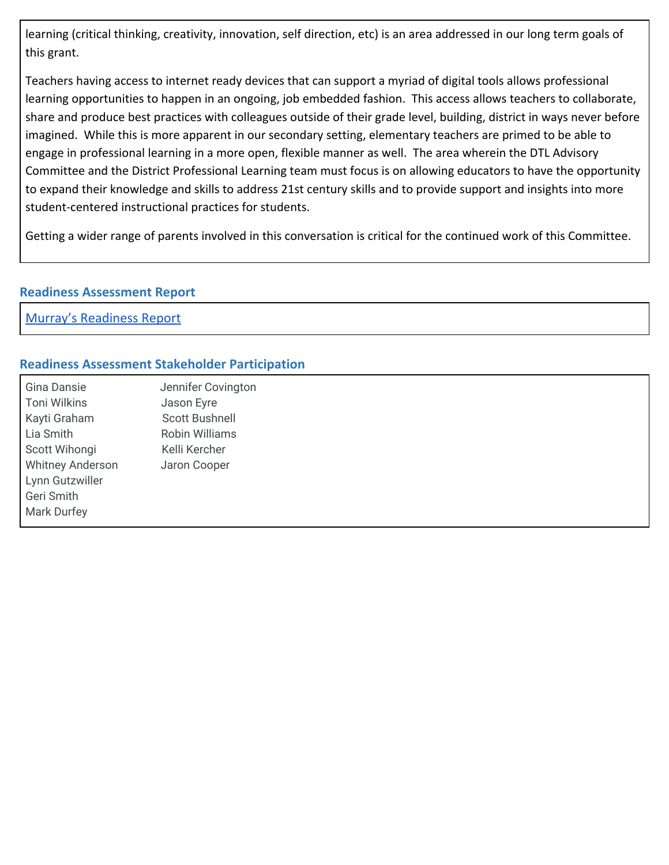learning (critical thinking, creativity, innovation, self direction, etc) is an area addressed in our long term goals of this grant.

Teachers having access to internet ready devices that can support a myriad of digital tools allows professional learning opportunities to happen in an ongoing, job embedded fashion. This access allows teachers to collaborate, share and produce best practices with colleagues outside of their grade level, building, district in ways never before imagined. While this is more apparent in our secondary setting, elementary teachers are primed to be able to engage in professional learning in a more open, flexible manner as well. The area wherein the DTL Advisory Committee and the District Professional Learning team must focus is on allowing educators to have the opportunity to expand their knowledge and skills to address 21st century skills and to provide support and insights into more student-centered instructional practices for students.

Getting a wider range of parents involved in this conversation is critical for the continued work of this Committee.

### **Readiness Assessment Report**

Murray's [Readiness](https://drive.google.com/file/d/1tXTs2CRYSEr2zSgn0kUVzrEh-WdNeTd-/view?usp=sharing) Report

### **Readiness Assessment Stakeholder Participation**

Gina Dansie Jennifer Covington Toni Wilkins **Jason Eyre** Kayti Graham Scott Bushnell Lia Smith Robin Williams Scott Wihongi Kelli Kercher Whitney Anderson Jaron Cooper Lynn Gutzwiller Geri Smith Mark Durfey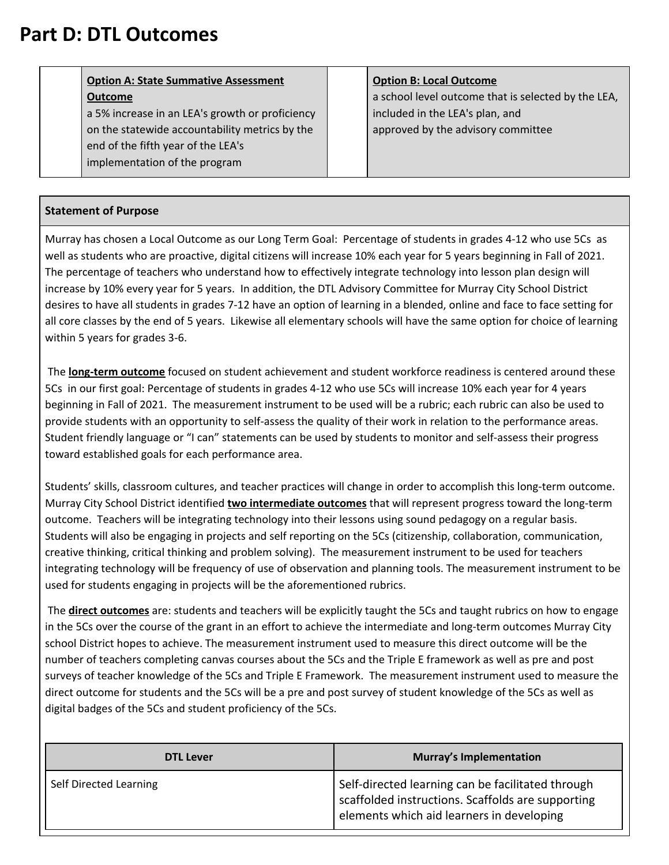## **Part D: DTL Outcomes**

## **Option A: State Summative Assessment Outcome**

a 5% increase in an LEA's growth or proficiency on the statewide accountability metrics by the end of the fifth year of the LEA's implementation of the program

## **Option B: Local Outcome**

a school level outcome that is selected by the LEA, included in the LEA's plan, and approved by the advisory committee

## **Statement of Purpose**

Murray has chosen a Local Outcome as our Long Term Goal: Percentage of students in grades 4-12 who use 5Cs as well as students who are proactive, digital citizens will increase 10% each year for 5 years beginning in Fall of 2021. The percentage of teachers who understand how to effectively integrate technology into lesson plan design will increase by 10% every year for 5 years. In addition, the DTL Advisory Committee for Murray City School District desires to have all students in grades 7-12 have an option of learning in a blended, online and face to face setting for all core classes by the end of 5 years. Likewise all elementary schools will have the same option for choice of learning within 5 years for grades 3-6.

The **long-term outcome** focused on student achievement and student workforce readiness is centered around these 5Cs in our first goal: Percentage of students in grades 4-12 who use 5Cs will increase 10% each year for 4 years beginning in Fall of 2021. The measurement instrument to be used will be a rubric; each rubric can also be used to provide students with an opportunity to self-assess the quality of their work in relation to the performance areas. Student friendly language or "I can" statements can be used by students to monitor and self-assess their progress toward established goals for each performance area.

Students' skills, classroom cultures, and teacher practices will change in order to accomplish this long-term outcome. Murray City School District identified **two intermediate outcomes** that will represent progress toward the long-term outcome. Teachers will be integrating technology into their lessons using sound pedagogy on a regular basis. Students will also be engaging in projects and self reporting on the 5Cs (citizenship, collaboration, communication, creative thinking, critical thinking and problem solving). The measurement instrument to be used for teachers integrating technology will be frequency of use of observation and planning tools. The measurement instrument to be used for students engaging in projects will be the aforementioned rubrics.

The **direct outcomes** are: students and teachers will be explicitly taught the 5Cs and taught rubrics on how to engage in the 5Cs over the course of the grant in an effort to achieve the intermediate and long-term outcomes Murray City school District hopes to achieve. The measurement instrument used to measure this direct outcome will be the number of teachers completing canvas courses about the 5Cs and the Triple E framework as well as pre and post surveys of teacher knowledge of the 5Cs and Triple E Framework. The measurement instrument used to measure the direct outcome for students and the 5Cs will be a pre and post survey of student knowledge of the 5Cs as well as digital badges of the 5Cs and student proficiency of the 5Cs.

| <b>DTL Lever</b>       | <b>Murray's Implementation</b>                                                                                                                      |  |
|------------------------|-----------------------------------------------------------------------------------------------------------------------------------------------------|--|
| Self Directed Learning | Self-directed learning can be facilitated through<br>scaffolded instructions. Scaffolds are supporting<br>elements which aid learners in developing |  |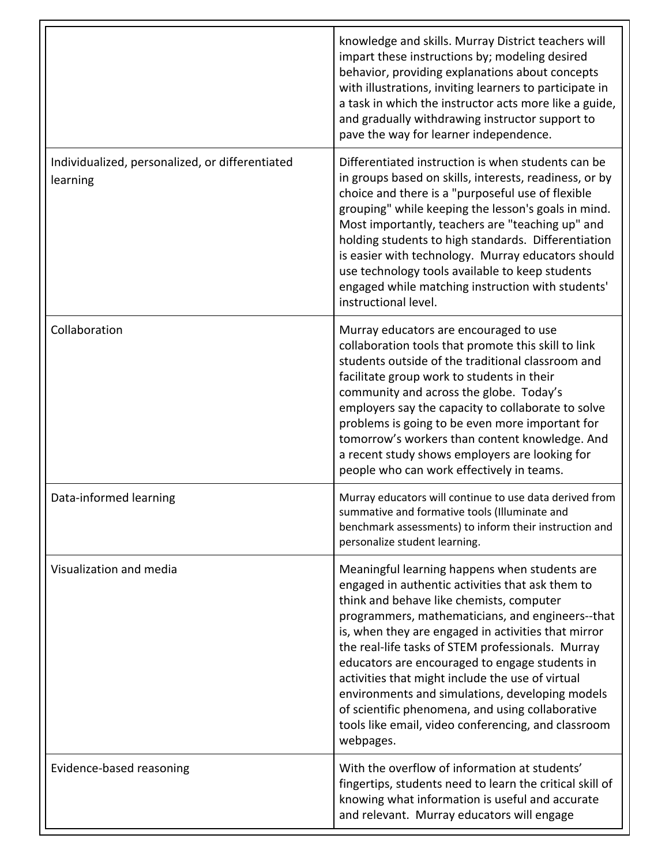|                                                             | knowledge and skills. Murray District teachers will<br>impart these instructions by; modeling desired<br>behavior, providing explanations about concepts<br>with illustrations, inviting learners to participate in<br>a task in which the instructor acts more like a guide,<br>and gradually withdrawing instructor support to<br>pave the way for learner independence.                                                                                                                                                                                                                     |
|-------------------------------------------------------------|------------------------------------------------------------------------------------------------------------------------------------------------------------------------------------------------------------------------------------------------------------------------------------------------------------------------------------------------------------------------------------------------------------------------------------------------------------------------------------------------------------------------------------------------------------------------------------------------|
| Individualized, personalized, or differentiated<br>learning | Differentiated instruction is when students can be<br>in groups based on skills, interests, readiness, or by<br>choice and there is a "purposeful use of flexible<br>grouping" while keeping the lesson's goals in mind.<br>Most importantly, teachers are "teaching up" and<br>holding students to high standards. Differentiation<br>is easier with technology. Murray educators should<br>use technology tools available to keep students<br>engaged while matching instruction with students'<br>instructional level.                                                                      |
| Collaboration                                               | Murray educators are encouraged to use<br>collaboration tools that promote this skill to link<br>students outside of the traditional classroom and<br>facilitate group work to students in their<br>community and across the globe. Today's<br>employers say the capacity to collaborate to solve<br>problems is going to be even more important for<br>tomorrow's workers than content knowledge. And<br>a recent study shows employers are looking for<br>people who can work effectively in teams.                                                                                          |
| Data-informed learning                                      | Murray educators will continue to use data derived from<br>summative and formative tools (Illuminate and<br>benchmark assessments) to inform their instruction and<br>personalize student learning.                                                                                                                                                                                                                                                                                                                                                                                            |
| Visualization and media                                     | Meaningful learning happens when students are<br>engaged in authentic activities that ask them to<br>think and behave like chemists, computer<br>programmers, mathematicians, and engineers--that<br>is, when they are engaged in activities that mirror<br>the real-life tasks of STEM professionals. Murray<br>educators are encouraged to engage students in<br>activities that might include the use of virtual<br>environments and simulations, developing models<br>of scientific phenomena, and using collaborative<br>tools like email, video conferencing, and classroom<br>webpages. |
| Evidence-based reasoning                                    | With the overflow of information at students'<br>fingertips, students need to learn the critical skill of<br>knowing what information is useful and accurate<br>and relevant. Murray educators will engage                                                                                                                                                                                                                                                                                                                                                                                     |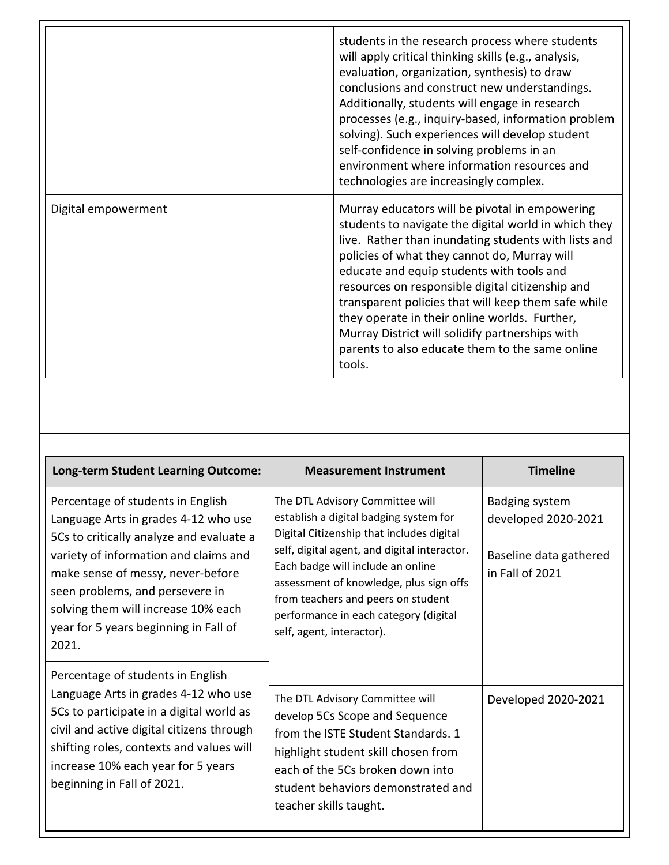|                     | students in the research process where students<br>will apply critical thinking skills (e.g., analysis,<br>evaluation, organization, synthesis) to draw<br>conclusions and construct new understandings.<br>Additionally, students will engage in research<br>processes (e.g., inquiry-based, information problem<br>solving). Such experiences will develop student<br>self-confidence in solving problems in an<br>environment where information resources and<br>technologies are increasingly complex.                              |
|---------------------|-----------------------------------------------------------------------------------------------------------------------------------------------------------------------------------------------------------------------------------------------------------------------------------------------------------------------------------------------------------------------------------------------------------------------------------------------------------------------------------------------------------------------------------------|
| Digital empowerment | Murray educators will be pivotal in empowering<br>students to navigate the digital world in which they<br>live. Rather than inundating students with lists and<br>policies of what they cannot do, Murray will<br>educate and equip students with tools and<br>resources on responsible digital citizenship and<br>transparent policies that will keep them safe while<br>they operate in their online worlds. Further,<br>Murray District will solidify partnerships with<br>parents to also educate them to the same online<br>tools. |

| <b>Long-term Student Learning Outcome:</b>                                                                                                                                                                                                                                                                                      | <b>Measurement Instrument</b>                                                                                                                                                                                                                                                                                                                                      | <b>Timeline</b>                                                                    |
|---------------------------------------------------------------------------------------------------------------------------------------------------------------------------------------------------------------------------------------------------------------------------------------------------------------------------------|--------------------------------------------------------------------------------------------------------------------------------------------------------------------------------------------------------------------------------------------------------------------------------------------------------------------------------------------------------------------|------------------------------------------------------------------------------------|
| Percentage of students in English<br>Language Arts in grades 4-12 who use<br>5Cs to critically analyze and evaluate a<br>variety of information and claims and<br>make sense of messy, never-before<br>seen problems, and persevere in<br>solving them will increase 10% each<br>year for 5 years beginning in Fall of<br>2021. | The DTL Advisory Committee will<br>establish a digital badging system for<br>Digital Citizenship that includes digital<br>self, digital agent, and digital interactor.<br>Each badge will include an online<br>assessment of knowledge, plus sign offs<br>from teachers and peers on student<br>performance in each category (digital<br>self, agent, interactor). | Badging system<br>developed 2020-2021<br>Baseline data gathered<br>in Fall of 2021 |
| Percentage of students in English<br>Language Arts in grades 4-12 who use<br>5Cs to participate in a digital world as<br>civil and active digital citizens through<br>shifting roles, contexts and values will<br>increase 10% each year for 5 years<br>beginning in Fall of 2021.                                              | The DTL Advisory Committee will<br>develop 5Cs Scope and Sequence<br>from the ISTE Student Standards. 1<br>highlight student skill chosen from<br>each of the 5Cs broken down into<br>student behaviors demonstrated and<br>teacher skills taught.                                                                                                                 | Developed 2020-2021                                                                |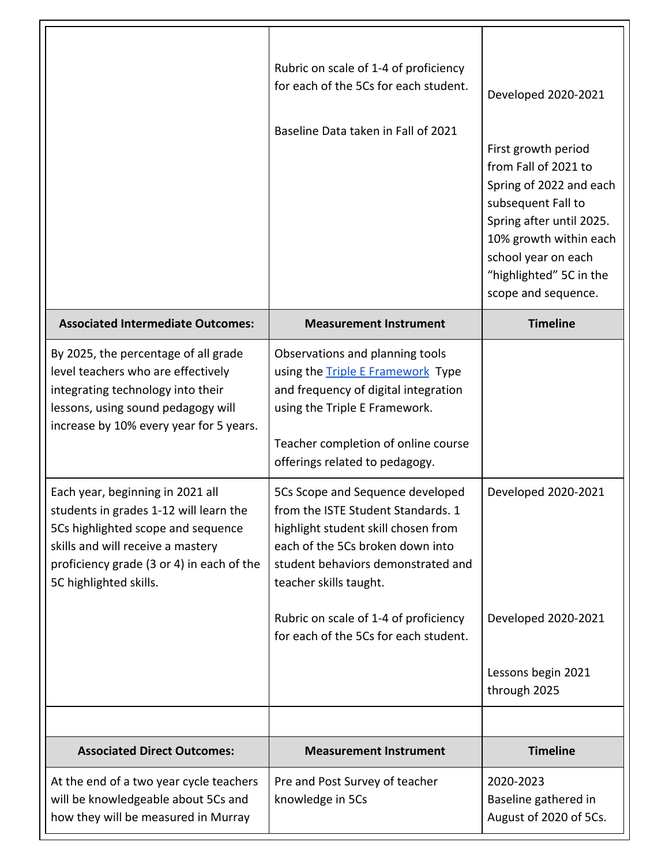|                                                                                                                                                                                                                              | Rubric on scale of 1-4 of proficiency<br>for each of the 5Cs for each student.<br>Baseline Data taken in Fall of 2021                                                                                                         | Developed 2020-2021<br>First growth period<br>from Fall of 2021 to<br>Spring of 2022 and each<br>subsequent Fall to<br>Spring after until 2025.<br>10% growth within each<br>school year on each<br>"highlighted" 5C in the<br>scope and sequence. |
|------------------------------------------------------------------------------------------------------------------------------------------------------------------------------------------------------------------------------|-------------------------------------------------------------------------------------------------------------------------------------------------------------------------------------------------------------------------------|----------------------------------------------------------------------------------------------------------------------------------------------------------------------------------------------------------------------------------------------------|
| <b>Associated Intermediate Outcomes:</b>                                                                                                                                                                                     | <b>Measurement Instrument</b>                                                                                                                                                                                                 | <b>Timeline</b>                                                                                                                                                                                                                                    |
| By 2025, the percentage of all grade<br>level teachers who are effectively<br>integrating technology into their<br>lessons, using sound pedagogy will<br>increase by 10% every year for 5 years.                             | Observations and planning tools<br>using the <b>Triple E Framework</b> Type<br>and frequency of digital integration<br>using the Triple E Framework.<br>Teacher completion of online course<br>offerings related to pedagogy. |                                                                                                                                                                                                                                                    |
| Each year, beginning in 2021 all<br>students in grades 1-12 will learn the<br>5Cs highlighted scope and sequence<br>skills and will receive a mastery<br>proficiency grade (3 or 4) in each of the<br>5C highlighted skills. | 5Cs Scope and Sequence developed<br>from the ISTE Student Standards, 1<br>highlight student skill chosen from<br>each of the 5Cs broken down into<br>student behaviors demonstrated and<br>teacher skills taught.             | Developed 2020-2021                                                                                                                                                                                                                                |
|                                                                                                                                                                                                                              | Rubric on scale of 1-4 of proficiency<br>for each of the 5Cs for each student.                                                                                                                                                | Developed 2020-2021                                                                                                                                                                                                                                |
|                                                                                                                                                                                                                              |                                                                                                                                                                                                                               | Lessons begin 2021<br>through 2025                                                                                                                                                                                                                 |
|                                                                                                                                                                                                                              |                                                                                                                                                                                                                               |                                                                                                                                                                                                                                                    |
| <b>Associated Direct Outcomes:</b>                                                                                                                                                                                           | <b>Measurement Instrument</b>                                                                                                                                                                                                 | <b>Timeline</b>                                                                                                                                                                                                                                    |
| At the end of a two year cycle teachers<br>will be knowledgeable about 5Cs and<br>how they will be measured in Murray                                                                                                        | Pre and Post Survey of teacher<br>knowledge in 5Cs                                                                                                                                                                            | 2020-2023<br>Baseline gathered in<br>August of 2020 of 5Cs.                                                                                                                                                                                        |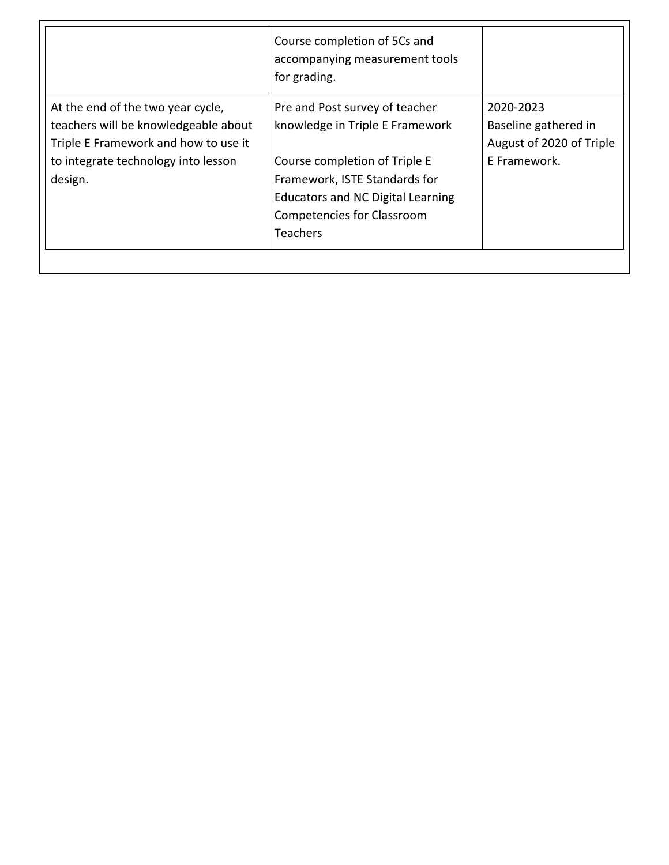|                                                                                                                                                                     | Course completion of 5Cs and<br>accompanying measurement tools<br>for grading.                                                                                                                                                          |                                                                               |
|---------------------------------------------------------------------------------------------------------------------------------------------------------------------|-----------------------------------------------------------------------------------------------------------------------------------------------------------------------------------------------------------------------------------------|-------------------------------------------------------------------------------|
| At the end of the two year cycle,<br>teachers will be knowledgeable about<br>Triple E Framework and how to use it<br>to integrate technology into lesson<br>design. | Pre and Post survey of teacher<br>knowledge in Triple E Framework<br>Course completion of Triple E<br>Framework, ISTE Standards for<br><b>Educators and NC Digital Learning</b><br><b>Competencies for Classroom</b><br><b>Teachers</b> | 2020-2023<br>Baseline gathered in<br>August of 2020 of Triple<br>F Framework. |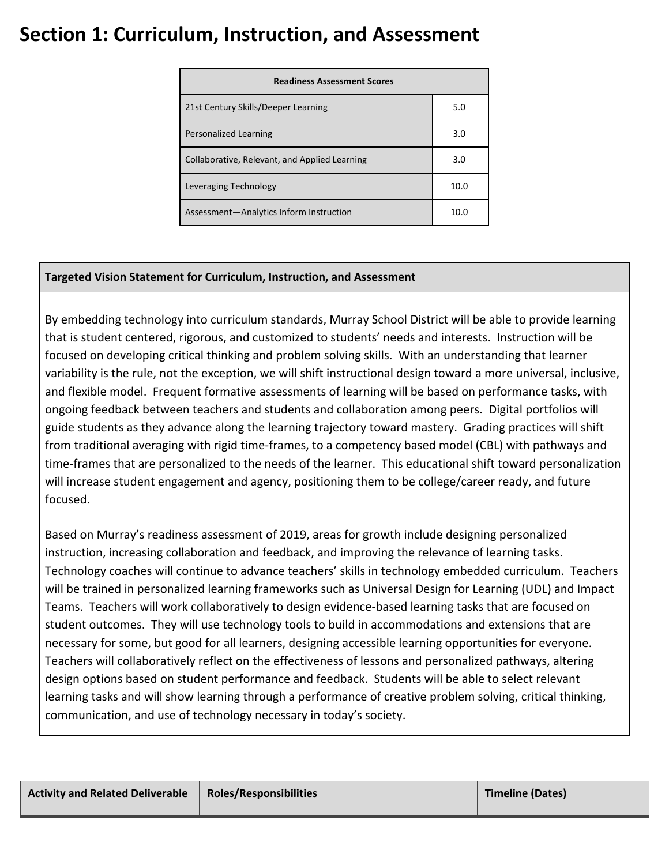## **Section 1: Curriculum, Instruction, and Assessment**

| <b>Readiness Assessment Scores</b>            |      |  |
|-----------------------------------------------|------|--|
| 21st Century Skills/Deeper Learning           | 5.0  |  |
| Personalized Learning                         | 3.0  |  |
| Collaborative, Relevant, and Applied Learning | 3.0  |  |
| Leveraging Technology                         | 10.0 |  |
| Assessment-Analytics Inform Instruction       | 10.0 |  |

## **Targeted Vision Statement for Curriculum, Instruction, and Assessment**

By embedding technology into curriculum standards, Murray School District will be able to provide learning that is student centered, rigorous, and customized to students' needs and interests. Instruction will be focused on developing critical thinking and problem solving skills. With an understanding that learner variability is the rule, not the exception, we will shift instructional design toward a more universal, inclusive, and flexible model. Frequent formative assessments of learning will be based on performance tasks, with ongoing feedback between teachers and students and collaboration among peers. Digital portfolios will guide students as they advance along the learning trajectory toward mastery. Grading practices will shift from traditional averaging with rigid time-frames, to a competency based model (CBL) with pathways and time-frames that are personalized to the needs of the learner. This educational shift toward personalization will increase student engagement and agency, positioning them to be college/career ready, and future focused.

Based on Murray's readiness assessment of 2019, areas for growth include designing personalized instruction, increasing collaboration and feedback, and improving the relevance of learning tasks. Technology coaches will continue to advance teachers' skills in technology embedded curriculum. Teachers will be trained in personalized learning frameworks such as Universal Design for Learning (UDL) and Impact Teams. Teachers will work collaboratively to design evidence-based learning tasks that are focused on student outcomes. They will use technology tools to build in accommodations and extensions that are necessary for some, but good for all learners, designing accessible learning opportunities for everyone. Teachers will collaboratively reflect on the effectiveness of lessons and personalized pathways, altering design options based on student performance and feedback. Students will be able to select relevant learning tasks and will show learning through a performance of creative problem solving, critical thinking, communication, and use of technology necessary in today's society.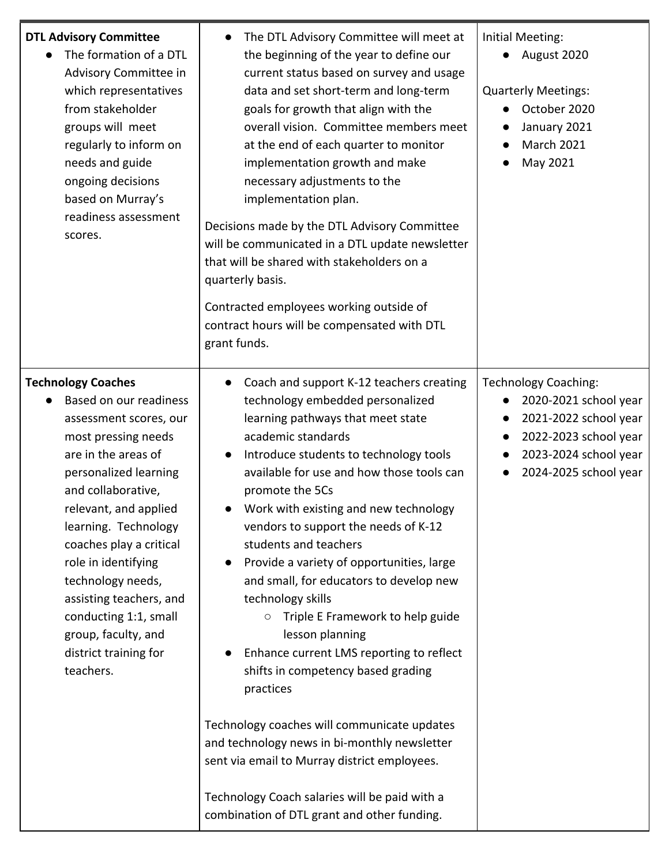| <b>DTL Advisory Committee</b><br>The formation of a DTL<br>Advisory Committee in<br>which representatives<br>from stakeholder<br>groups will meet<br>regularly to inform on<br>needs and guide<br>ongoing decisions<br>based on Murray's<br>readiness assessment<br>scores.                                                                                                                                         | The DTL Advisory Committee will meet at<br>$\bullet$<br>the beginning of the year to define our<br>current status based on survey and usage<br>data and set short-term and long-term<br>goals for growth that align with the<br>overall vision. Committee members meet<br>at the end of each quarter to monitor<br>implementation growth and make<br>necessary adjustments to the<br>implementation plan.<br>Decisions made by the DTL Advisory Committee<br>will be communicated in a DTL update newsletter<br>that will be shared with stakeholders on a<br>quarterly basis.<br>Contracted employees working outside of<br>contract hours will be compensated with DTL<br>grant funds.                                                                                                                                                                                                                        | <b>Initial Meeting:</b><br>August 2020<br><b>Quarterly Meetings:</b><br>October 2020<br>January 2021<br><b>March 2021</b><br>May 2021                    |
|---------------------------------------------------------------------------------------------------------------------------------------------------------------------------------------------------------------------------------------------------------------------------------------------------------------------------------------------------------------------------------------------------------------------|-----------------------------------------------------------------------------------------------------------------------------------------------------------------------------------------------------------------------------------------------------------------------------------------------------------------------------------------------------------------------------------------------------------------------------------------------------------------------------------------------------------------------------------------------------------------------------------------------------------------------------------------------------------------------------------------------------------------------------------------------------------------------------------------------------------------------------------------------------------------------------------------------------------------|----------------------------------------------------------------------------------------------------------------------------------------------------------|
| <b>Technology Coaches</b><br>Based on our readiness<br>assessment scores, our<br>most pressing needs<br>are in the areas of<br>personalized learning<br>and collaborative,<br>relevant, and applied<br>learning. Technology<br>coaches play a critical<br>role in identifying<br>technology needs,<br>assisting teachers, and<br>conducting 1:1, small<br>group, faculty, and<br>district training for<br>teachers. | Coach and support K-12 teachers creating<br>$\bullet$<br>technology embedded personalized<br>learning pathways that meet state<br>academic standards<br>Introduce students to technology tools<br>$\bullet$<br>available for use and how those tools can<br>promote the 5Cs<br>Work with existing and new technology<br>vendors to support the needs of K-12<br>students and teachers<br>Provide a variety of opportunities, large<br>and small, for educators to develop new<br>technology skills<br>$\circ$ Triple E Framework to help guide<br>lesson planning<br>Enhance current LMS reporting to reflect<br>shifts in competency based grading<br>practices<br>Technology coaches will communicate updates<br>and technology news in bi-monthly newsletter<br>sent via email to Murray district employees.<br>Technology Coach salaries will be paid with a<br>combination of DTL grant and other funding. | <b>Technology Coaching:</b><br>2020-2021 school year<br>2021-2022 school year<br>2022-2023 school year<br>2023-2024 school year<br>2024-2025 school year |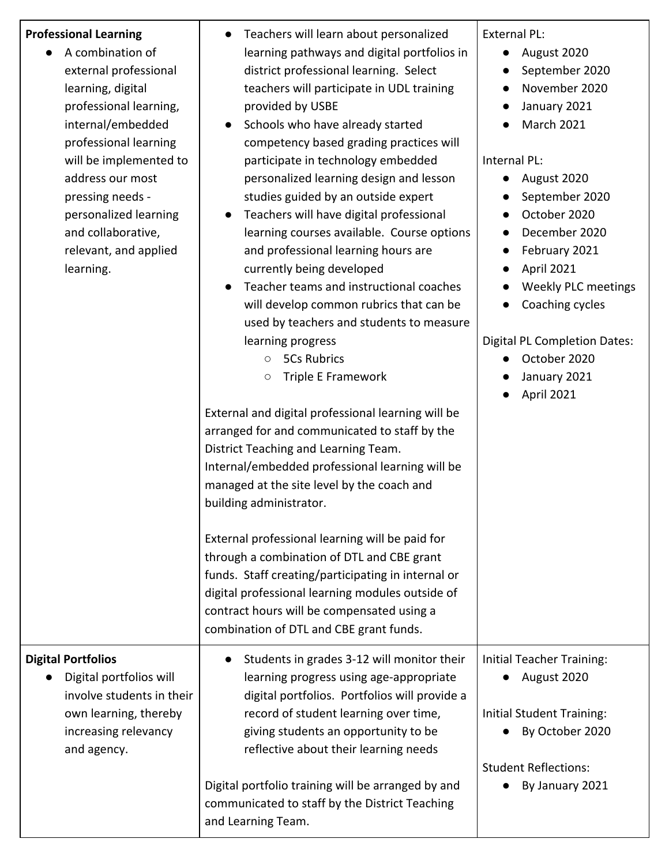| <b>Professional Learning</b><br>A combination of<br>external professional<br>learning, digital<br>professional learning,<br>internal/embedded<br>professional learning<br>will be implemented to<br>address our most<br>pressing needs -<br>personalized learning<br>and collaborative,<br>relevant, and applied<br>learning. | Teachers will learn about personalized<br>$\bullet$<br>learning pathways and digital portfolios in<br>district professional learning. Select<br>teachers will participate in UDL training<br>provided by USBE<br>Schools who have already started<br>competency based grading practices will<br>participate in technology embedded<br>personalized learning design and lesson<br>studies guided by an outside expert<br>Teachers will have digital professional<br>learning courses available. Course options<br>and professional learning hours are<br>currently being developed<br>Teacher teams and instructional coaches<br>will develop common rubrics that can be<br>used by teachers and students to measure<br>learning progress<br><b>5Cs Rubrics</b><br>$\circ$<br>Triple E Framework<br>$\bigcirc$<br>External and digital professional learning will be<br>arranged for and communicated to staff by the<br>District Teaching and Learning Team.<br>Internal/embedded professional learning will be<br>managed at the site level by the coach and<br>building administrator.<br>External professional learning will be paid for<br>through a combination of DTL and CBE grant<br>funds. Staff creating/participating in internal or<br>digital professional learning modules outside of<br>contract hours will be compensated using a<br>combination of DTL and CBE grant funds. | <b>External PL:</b><br>August 2020<br>September 2020<br>November 2020<br>January 2021<br>March 2021<br>Internal PL:<br>August 2020<br>$\bullet$<br>September 2020<br>October 2020<br>December 2020<br>February 2021<br>$\bullet$<br>April 2021<br><b>Weekly PLC meetings</b><br>Coaching cycles<br><b>Digital PL Completion Dates:</b><br>October 2020<br>January 2021<br>April 2021 |
|-------------------------------------------------------------------------------------------------------------------------------------------------------------------------------------------------------------------------------------------------------------------------------------------------------------------------------|----------------------------------------------------------------------------------------------------------------------------------------------------------------------------------------------------------------------------------------------------------------------------------------------------------------------------------------------------------------------------------------------------------------------------------------------------------------------------------------------------------------------------------------------------------------------------------------------------------------------------------------------------------------------------------------------------------------------------------------------------------------------------------------------------------------------------------------------------------------------------------------------------------------------------------------------------------------------------------------------------------------------------------------------------------------------------------------------------------------------------------------------------------------------------------------------------------------------------------------------------------------------------------------------------------------------------------------------------------------------------------------------|--------------------------------------------------------------------------------------------------------------------------------------------------------------------------------------------------------------------------------------------------------------------------------------------------------------------------------------------------------------------------------------|
| <b>Digital Portfolios</b><br>Digital portfolios will<br>involve students in their<br>own learning, thereby<br>increasing relevancy<br>and agency.                                                                                                                                                                             | Students in grades 3-12 will monitor their<br>learning progress using age-appropriate<br>digital portfolios. Portfolios will provide a<br>record of student learning over time,<br>giving students an opportunity to be<br>reflective about their learning needs<br>Digital portfolio training will be arranged by and<br>communicated to staff by the District Teaching<br>and Learning Team.                                                                                                                                                                                                                                                                                                                                                                                                                                                                                                                                                                                                                                                                                                                                                                                                                                                                                                                                                                                               | Initial Teacher Training:<br>August 2020<br>Initial Student Training:<br>By October 2020<br><b>Student Reflections:</b><br>By January 2021                                                                                                                                                                                                                                           |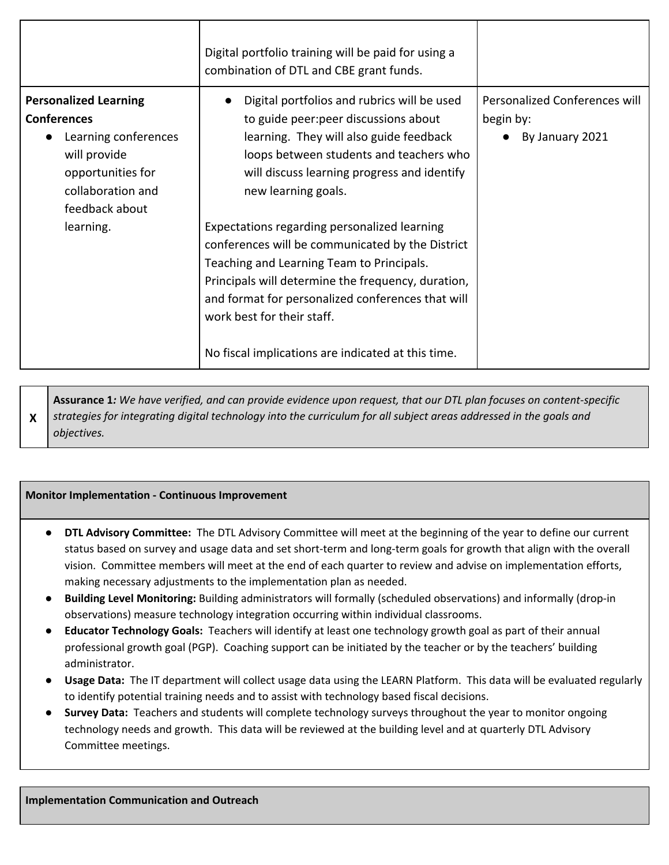|                                                                                                                                                                     | Digital portfolio training will be paid for using a<br>combination of DTL and CBE grant funds.                                                                                                                                                                                                                                                                                                                                                                                                                                                                                                   |                                                               |
|---------------------------------------------------------------------------------------------------------------------------------------------------------------------|--------------------------------------------------------------------------------------------------------------------------------------------------------------------------------------------------------------------------------------------------------------------------------------------------------------------------------------------------------------------------------------------------------------------------------------------------------------------------------------------------------------------------------------------------------------------------------------------------|---------------------------------------------------------------|
| <b>Personalized Learning</b><br><b>Conferences</b><br>Learning conferences<br>will provide<br>opportunities for<br>collaboration and<br>feedback about<br>learning. | Digital portfolios and rubrics will be used<br>to guide peer: peer discussions about<br>learning. They will also guide feedback<br>loops between students and teachers who<br>will discuss learning progress and identify<br>new learning goals.<br>Expectations regarding personalized learning<br>conferences will be communicated by the District<br>Teaching and Learning Team to Principals.<br>Principals will determine the frequency, duration,<br>and format for personalized conferences that will<br>work best for their staff.<br>No fiscal implications are indicated at this time. | Personalized Conferences will<br>begin by:<br>By January 2021 |

**X Assurance 1:** We have verified, and can provide evidence upon request, that our DTL plan focuses on content-specific strategies for integrating digital technology into the curriculum for all subject areas addressed in the goals and *objectives.*

#### **Monitor Implementation - Continuous Improvement**

- **DTL Advisory Committee:** The DTL Advisory Committee will meet at the beginning of the year to define our current status based on survey and usage data and set short-term and long-term goals for growth that align with the overall vision. Committee members will meet at the end of each quarter to review and advise on implementation efforts, making necessary adjustments to the implementation plan as needed.
- **Building Level Monitoring:** Building administrators will formally (scheduled observations) and informally (drop-in observations) measure technology integration occurring within individual classrooms.
- **Educator Technology Goals:** Teachers will identify at least one technology growth goal as part of their annual professional growth goal (PGP). Coaching support can be initiated by the teacher or by the teachers' building administrator.
- **Usage Data:** The IT department will collect usage data using the LEARN Platform. This data will be evaluated regularly to identify potential training needs and to assist with technology based fiscal decisions.
- **Survey Data:** Teachers and students will complete technology surveys throughout the year to monitor ongoing technology needs and growth. This data will be reviewed at the building level and at quarterly DTL Advisory Committee meetings.

**Implementation Communication and Outreach**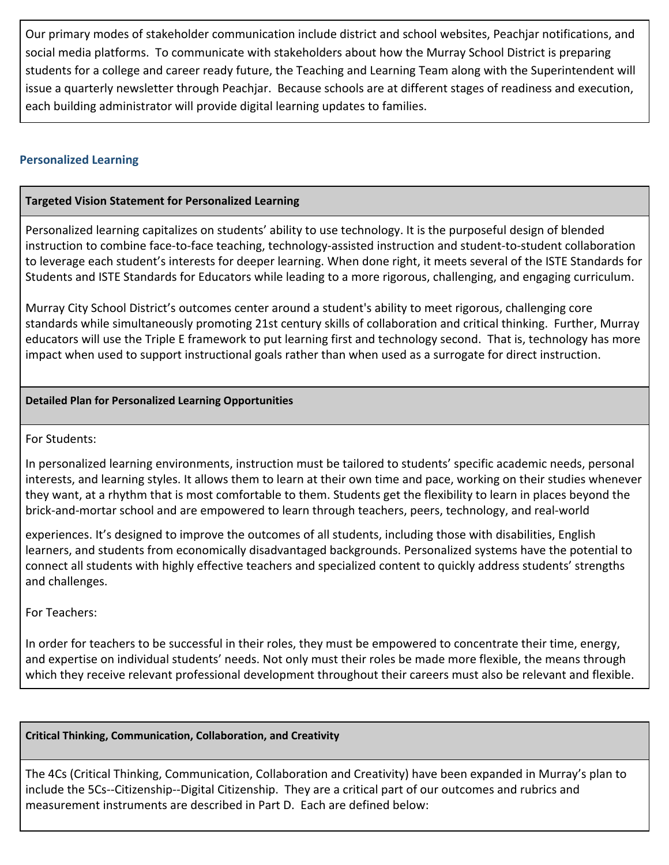Our primary modes of stakeholder communication include district and school websites, Peachjar notifications, and social media platforms. To communicate with stakeholders about how the Murray School District is preparing students for a college and career ready future, the Teaching and Learning Team along with the Superintendent will issue a quarterly newsletter through Peachjar. Because schools are at different stages of readiness and execution, each building administrator will provide digital learning updates to families.

### **Personalized Learning**

### **Targeted Vision Statement for Personalized Learning**

Personalized learning capitalizes on students' ability to use technology. It is the purposeful design of blended instruction to combine face-to-face teaching, technology-assisted instruction and student-to-student collaboration to leverage each student's interests for deeper learning. When done right, it meets several of the ISTE Standards for Students and ISTE Standards for Educators while leading to a more rigorous, challenging, and engaging curriculum.

Murray City School District's outcomes center around a student's ability to meet rigorous, challenging core standards while simultaneously promoting 21st century skills of collaboration and critical thinking. Further, Murray educators will use the Triple E framework to put learning first and technology second. That is, technology has more impact when used to support instructional goals rather than when used as a surrogate for direct instruction.

#### **Detailed Plan for Personalized Learning Opportunities**

For Students:

In personalized learning environments, instruction must be tailored to students' specific academic needs, personal interests, and learning styles. It allows them to learn at their own time and pace, working on their studies whenever they want, at a rhythm that is most comfortable to them. Students get the flexibility to learn in places beyond the brick-and-mortar school and are empowered to learn through teachers, peers, technology, and real-world

experiences. It's designed to improve the outcomes of all students, including those with disabilities, English learners, and students from economically disadvantaged backgrounds. Personalized systems have the potential to connect all students with highly effective teachers and specialized content to quickly address students' strengths and challenges.

For Teachers:

In order for teachers to be successful in their roles, they must be empowered to concentrate their time, energy, and expertise on individual students' needs. Not only must their roles be made more flexible, the means through which they receive relevant professional development throughout their careers must also be relevant and flexible.

### **Critical Thinking, Communication, Collaboration, and Creativity**

The 4Cs (Critical Thinking, Communication, Collaboration and Creativity) have been expanded in Murray's plan to include the 5Cs--Citizenship--Digital Citizenship. They are a critical part of our outcomes and rubrics and measurement instruments are described in Part D. Each are defined below: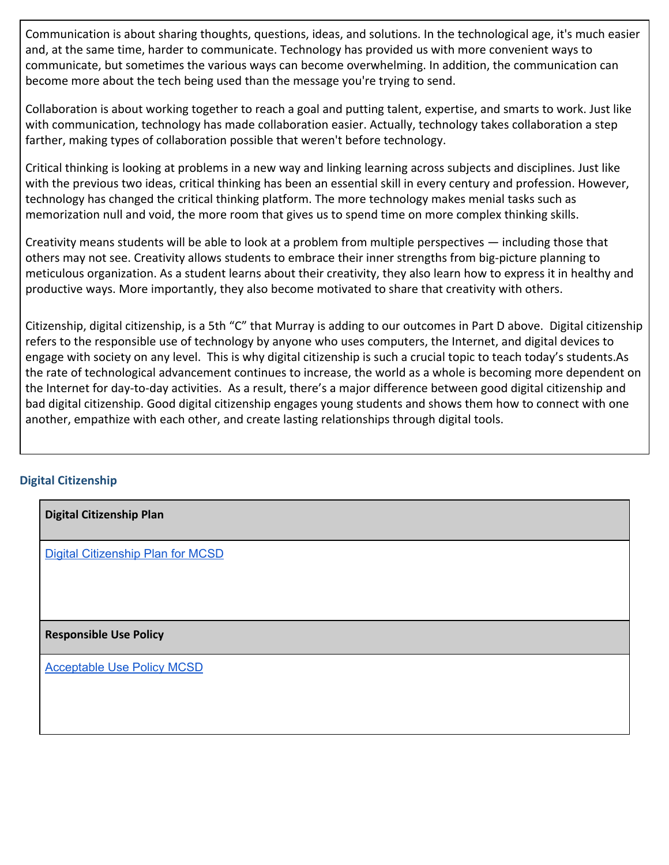Communication is about sharing thoughts, questions, ideas, and solutions. In the technological age, it's much easier and, at the same time, harder to communicate. Technology has provided us with more convenient ways to communicate, but sometimes the various ways can become overwhelming. In addition, the communication can become more about the tech being used than the message you're trying to send.

Collaboration is about working together to reach a goal and putting talent, expertise, and smarts to work. Just like with communication, technology has made collaboration easier. Actually, technology takes collaboration a step farther, making types of collaboration possible that weren't before technology.

Critical thinking is looking at problems in a new way and linking learning across subjects and disciplines. Just like with the previous two ideas, critical thinking has been an essential skill in every century and profession. However, technology has changed the critical thinking platform. The more technology makes menial tasks such as memorization null and void, the more room that gives us to spend time on more complex thinking skills.

Creativity means students will be able to look at a problem from multiple perspectives — including those that others may not see. Creativity allows students to embrace their inner strengths from big-picture planning to meticulous organization. As a student learns about their creativity, they also learn how to express it in healthy and productive ways. More importantly, they also become motivated to share that creativity with others.

Citizenship, digital citizenship, is a 5th "C" that Murray is adding to our outcomes in Part D above. Digital citizenship refers to the responsible use of technology by anyone who uses computers, the Internet, and digital devices to engage with society on any level. This is why digital citizenship is such a crucial topic to teach today's students.As the rate of technological advancement continues to increase, the world as a whole is becoming more dependent on the Internet for day-to-day activities. As a result, there's a major difference between good digital citizenship and bad digital citizenship. Good digital citizenship engages young students and shows them how to connect with one another, empathize with each other, and create lasting relationships through digital tools.

## **Digital Citizenship**

| <b>Digital Citizenship Plan</b>   |
|-----------------------------------|
| Digital Citizenship Plan for MCSD |
|                                   |
| <b>Responsible Use Policy</b>     |
| <b>Acceptable Use Policy MCSD</b> |
|                                   |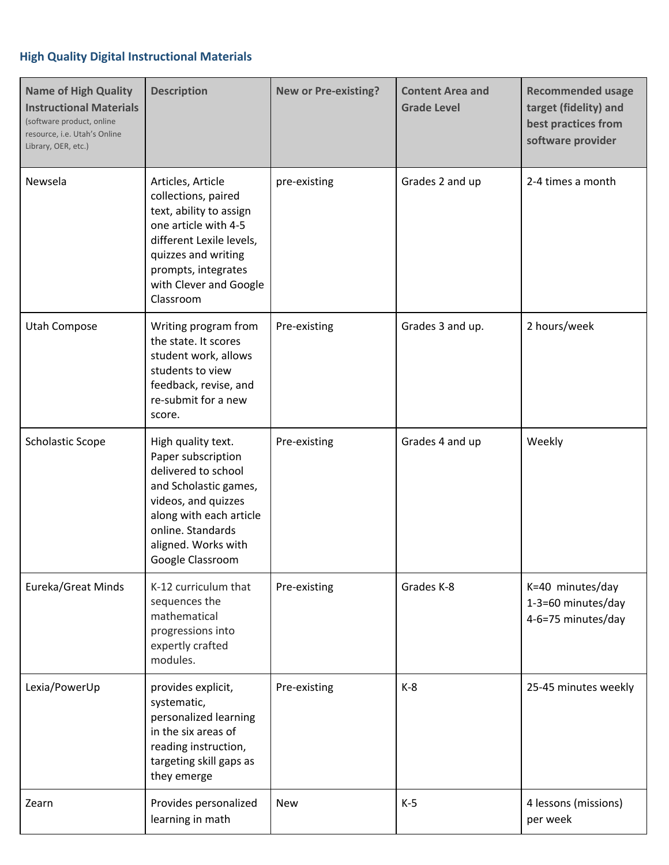## **High Quality Digital Instructional Materials**

| <b>Name of High Quality</b><br><b>Instructional Materials</b><br>(software product, online<br>resource, i.e. Utah's Online<br>Library, OER, etc.) | <b>Description</b>                                                                                                                                                                                           | <b>New or Pre-existing?</b> | <b>Content Area and</b><br><b>Grade Level</b> | <b>Recommended usage</b><br>target (fidelity) and<br>best practices from<br>software provider |
|---------------------------------------------------------------------------------------------------------------------------------------------------|--------------------------------------------------------------------------------------------------------------------------------------------------------------------------------------------------------------|-----------------------------|-----------------------------------------------|-----------------------------------------------------------------------------------------------|
| Newsela                                                                                                                                           | Articles, Article<br>collections, paired<br>text, ability to assign<br>one article with 4-5<br>different Lexile levels,<br>quizzes and writing<br>prompts, integrates<br>with Clever and Google<br>Classroom | pre-existing                | Grades 2 and up                               | 2-4 times a month                                                                             |
| Utah Compose                                                                                                                                      | Writing program from<br>the state. It scores<br>student work, allows<br>students to view<br>feedback, revise, and<br>re-submit for a new<br>score.                                                           | Pre-existing                | Grades 3 and up.                              | 2 hours/week                                                                                  |
| <b>Scholastic Scope</b>                                                                                                                           | High quality text.<br>Paper subscription<br>delivered to school<br>and Scholastic games,<br>videos, and quizzes<br>along with each article<br>online. Standards<br>aligned. Works with<br>Google Classroom   | Pre-existing                | Grades 4 and up                               | Weekly                                                                                        |
| Eureka/Great Minds                                                                                                                                | K-12 curriculum that<br>sequences the<br>mathematical<br>progressions into<br>expertly crafted<br>modules.                                                                                                   | Pre-existing                | Grades K-8                                    | K=40 minutes/day<br>1-3=60 minutes/day<br>4-6=75 minutes/day                                  |
| Lexia/PowerUp                                                                                                                                     | provides explicit,<br>systematic,<br>personalized learning<br>in the six areas of<br>reading instruction,<br>targeting skill gaps as<br>they emerge                                                          | Pre-existing                | $K-8$                                         | 25-45 minutes weekly                                                                          |
| Zearn                                                                                                                                             | Provides personalized<br>learning in math                                                                                                                                                                    | <b>New</b>                  | $K-5$                                         | 4 lessons (missions)<br>per week                                                              |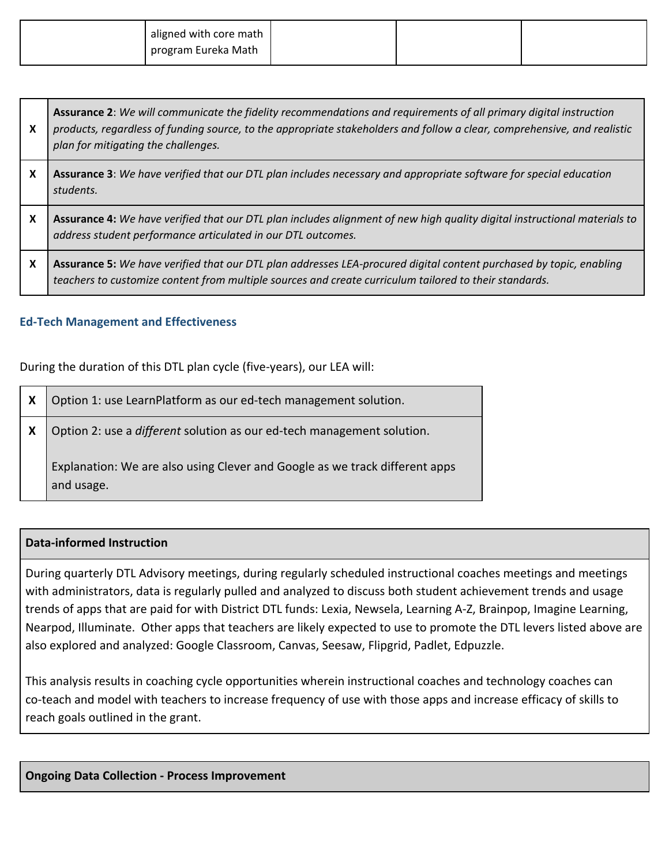| aligned with core math |  |  |
|------------------------|--|--|
| program Eureka Math    |  |  |

| <b>Assurance 2:</b> We will communicate the fidelity recommendations and requirements of all primary digital instruction     |
|------------------------------------------------------------------------------------------------------------------------------|
| X   products, regardless of funding source, to the appropriate stakeholders and follow a clear, comprehensive, and realistic |
| plan for mitigating the challenges.                                                                                          |

- X | Assurance 3: We have verified that our DTL plan includes necessary and appropriate software for special education *students.*
- X | Assurance 4: We have verified that our DTL plan includes alignment of new high quality digital instructional materials to *address student performance articulated in our DTL outcomes.*
- X | Assurance 5: We have verified that our DTL plan addresses LEA-procured digital content purchased by topic, enabling *teachers to customize content from multiple sources and create curriculum tailored to their standards.*

### **Ed-Tech Management and Effectiveness**

During the duration of this DTL plan cycle (five-years), our LEA will:

| X | Option 1: use LearnPlatform as our ed-tech management solution.                           |
|---|-------------------------------------------------------------------------------------------|
| X | Option 2: use a different solution as our ed-tech management solution.                    |
|   | Explanation: We are also using Clever and Google as we track different apps<br>and usage. |

### **Data-informed Instruction**

During quarterly DTL Advisory meetings, during regularly scheduled instructional coaches meetings and meetings with administrators, data is regularly pulled and analyzed to discuss both student achievement trends and usage trends of apps that are paid for with District DTL funds: Lexia, Newsela, Learning A-Z, Brainpop, Imagine Learning, Nearpod, Illuminate. Other apps that teachers are likely expected to use to promote the DTL levers listed above are also explored and analyzed: Google Classroom, Canvas, Seesaw, Flipgrid, Padlet, Edpuzzle.

This analysis results in coaching cycle opportunities wherein instructional coaches and technology coaches can co-teach and model with teachers to increase frequency of use with those apps and increase efficacy of skills to reach goals outlined in the grant.

#### **Ongoing Data Collection - Process Improvement**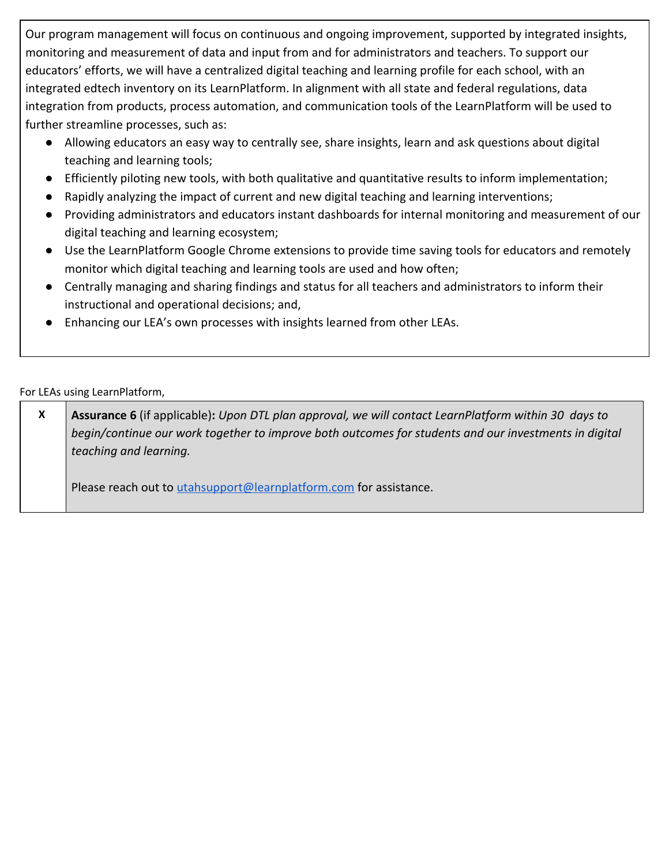Our program management will focus on continuous and ongoing improvement, supported by integrated insights, monitoring and measurement of data and input from and for administrators and teachers. To support our educators' efforts, we will have a centralized digital teaching and learning profile for each school, with an integrated edtech inventory on its LearnPlatform. In alignment with all state and federal regulations, data integration from products, process automation, and communication tools of the LearnPlatform will be used to further streamline processes, such as:

- Allowing educators an easy way to centrally see, share insights, learn and ask questions about digital teaching and learning tools;
- Efficiently piloting new tools, with both qualitative and quantitative results to inform implementation;
- Rapidly analyzing the impact of current and new digital teaching and learning interventions;
- Providing administrators and educators instant dashboards for internal monitoring and measurement of our digital teaching and learning ecosystem;
- Use the LearnPlatform Google Chrome extensions to provide time saving tools for educators and remotely monitor which digital teaching and learning tools are used and how often;
- Centrally managing and sharing findings and status for all teachers and administrators to inform their instructional and operational decisions; and,
- Enhancing our LEA's own processes with insights learned from other LEAs.

For LEAs using LearnPlatform,

| $\boldsymbol{\mathsf{x}}$ | <b>Assurance 6</b> (if applicable): Upon DTL plan approval, we will contact LearnPlatform within 30 days to |
|---------------------------|-------------------------------------------------------------------------------------------------------------|
|                           | begin/continue our work together to improve both outcomes for students and our investments in digital       |
|                           | teaching and learning.                                                                                      |
|                           |                                                                                                             |
|                           | Please reach out to utahsupport@learnplatform.com for assistance.                                           |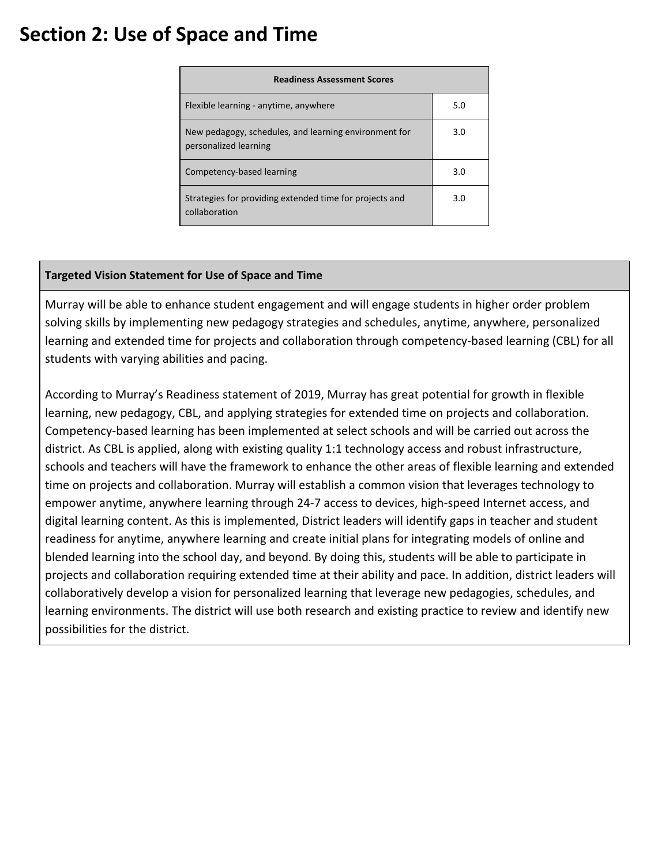## **Section 2: Use of Space and Time**

| <b>Readiness Assessment Scores</b>                                             |     |
|--------------------------------------------------------------------------------|-----|
| Flexible learning - anytime, anywhere                                          | 5.0 |
| New pedagogy, schedules, and learning environment for<br>personalized learning | 3.0 |
| Competency-based learning                                                      | 3.0 |
| Strategies for providing extended time for projects and<br>collaboration       | 3.0 |

### **Targeted Vision Statement for Use of Space and Time**

Murray will be able to enhance student engagement and will engage students in higher order problem solving skills by implementing new pedagogy strategies and schedules, anytime, anywhere, personalized learning and extended time for projects and collaboration through competency-based learning (CBL) for all students with varying abilities and pacing.

According to Murray's Readiness statement of 2019, Murray has great potential for growth in flexible learning, new pedagogy, CBL, and applying strategies for extended time on projects and collaboration. Competency-based learning has been implemented at select schools and will be carried out across the district. As CBL is applied, along with existing quality 1:1 technology access and robust infrastructure, schools and teachers will have the framework to enhance the other areas of flexible learning and extended time on projects and collaboration. Murray will establish a common vision that leverages technology to empower anytime, anywhere learning through 24-7 access to devices, high-speed Internet access, and digital learning content. As this is implemented, District leaders will identify gaps in teacher and student readiness for anytime, anywhere learning and create initial plans for integrating models of online and blended learning into the school day, and beyond. By doing this, students will be able to participate in projects and collaboration requiring extended time at their ability and pace. In addition, district leaders will collaboratively develop a vision for personalized learning that leverage new pedagogies, schedules, and learning environments. The district will use both research and existing practice to review and identify new possibilities for the district.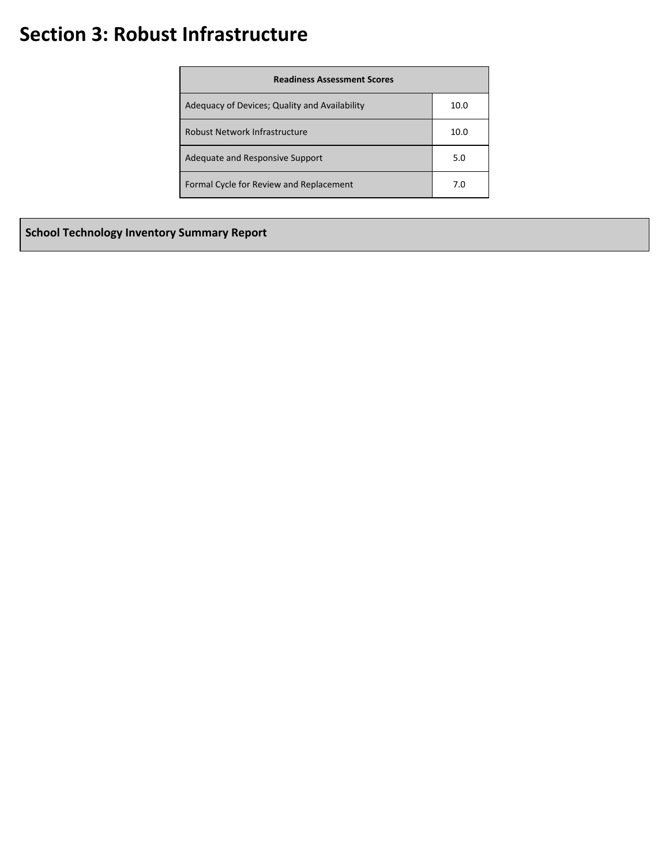## **Section 3: Robust Infrastructure**

| <b>Readiness Assessment Scores</b>            |      |
|-----------------------------------------------|------|
| Adequacy of Devices; Quality and Availability | 10.0 |
| Robust Network Infrastructure                 | 10.0 |
| Adequate and Responsive Support               | 5.0  |
| Formal Cycle for Review and Replacement       | 7.0  |

**School Technology Inventory Summary Report**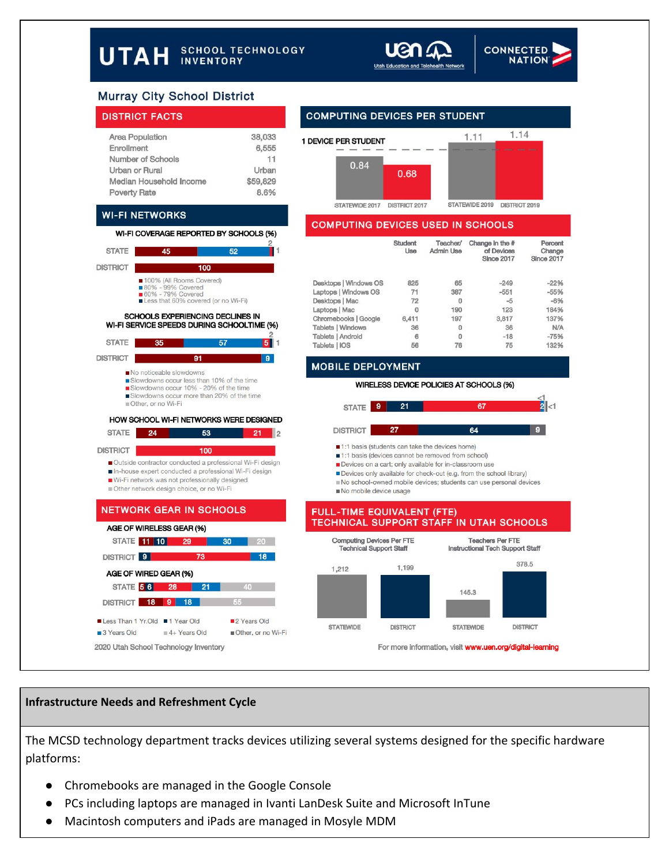



## **Murray City School District**

#### **DISTRICT FACTS**

**WI-FI NETWORKS** 

45

 $35$ 

100% (All Rooms Covered) ■ 80% - 99% Covered<br>■ 60% - 79% Covered<br>■ Less that 60% covered (or no Wi-Fi) SCHOOLS EXPERIENCING DECLINES IN WI-FI SERVICE SPEEDS DURING SCHOOLTIME (%)

**STATE** 

STATE |

**DISTRICT** 

**DISTRICT** 

| <b>Area Population</b>  | 38,033   |
|-------------------------|----------|
| Enrollment              | 6,555    |
| Number of Schools       | 11       |
| Urban or Rural          | Urban    |
| Median Household Income | \$59,829 |
| <b>Poverty Rate</b>     | 8.6%     |

WI-FI COVERAGE REPORTED BY SCHOOLS (%)

 $100$ 

 $91$ 

57

 $\mathbf{9}$ 

#### 1.14  $1.11$ 1 DEVICE PER STUDENT 0.84 0.68 STATEWIDE 2017 DISTRICT 2017 STATEWIDE 2019 DISTRICT 2019

#### **COMPUTING DEVICES USED IN SCHOOLS**

| Change<br><b>Since 2017</b> |
|-----------------------------|
| $-22%$                      |
| $-55%$                      |
| $-6%$                       |
| 184%                        |
| 137%                        |
| N/A                         |
| $-75%$                      |
| 132%                        |
|                             |

#### **MOBILE DEPLOYMENT**



#### **Infrastructure Needs and Refreshment Cycle**

The MCSD technology department tracks devices utilizing several systems designed for the specific hardware platforms:

- Chromebooks are managed in the Google Console
- PCs including laptops are managed in Ivanti LanDesk Suite and Microsoft InTune
- Macintosh computers and iPads are managed in Mosyle MDM

## **COMPUTING DEVICES PER STUDENT**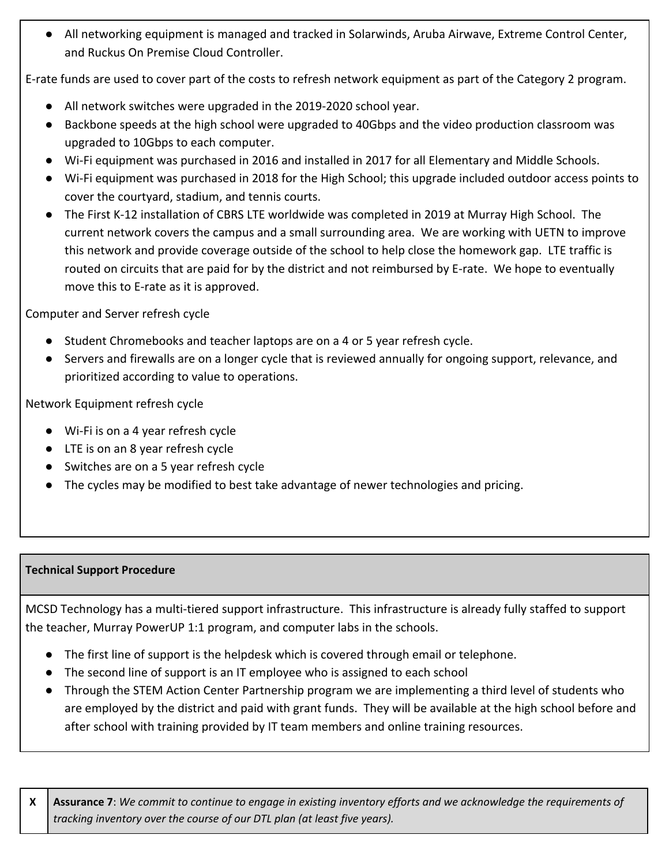● All networking equipment is managed and tracked in Solarwinds, Aruba Airwave, Extreme Control Center, and Ruckus On Premise Cloud Controller.

E-rate funds are used to cover part of the costs to refresh network equipment as part of the Category 2 program.

- All network switches were upgraded in the 2019-2020 school year.
- Backbone speeds at the high school were upgraded to 40Gbps and the video production classroom was upgraded to 10Gbps to each computer.
- Wi-Fi equipment was purchased in 2016 and installed in 2017 for all Elementary and Middle Schools.
- Wi-Fi equipment was purchased in 2018 for the High School; this upgrade included outdoor access points to cover the courtyard, stadium, and tennis courts.
- The First K-12 installation of CBRS LTE worldwide was completed in 2019 at Murray High School. The current network covers the campus and a small surrounding area. We are working with UETN to improve this network and provide coverage outside of the school to help close the homework gap. LTE traffic is routed on circuits that are paid for by the district and not reimbursed by E-rate. We hope to eventually move this to E-rate as it is approved.

Computer and Server refresh cycle

- Student Chromebooks and teacher laptops are on a 4 or 5 year refresh cycle.
- Servers and firewalls are on a longer cycle that is reviewed annually for ongoing support, relevance, and prioritized according to value to operations.

Network Equipment refresh cycle

- Wi-Fi is on a 4 year refresh cycle
- LTE is on an 8 year refresh cycle
- Switches are on a 5 year refresh cycle
- The cycles may be modified to best take advantage of newer technologies and pricing.

## **Technical Support Procedure**

MCSD Technology has a multi-tiered support infrastructure. This infrastructure is already fully staffed to support the teacher, Murray PowerUP 1:1 program, and computer labs in the schools.

- The first line of support is the helpdesk which is covered through email or telephone.
- The second line of support is an IT employee who is assigned to each school
- Through the STEM Action Center Partnership program we are implementing a third level of students who are employed by the district and paid with grant funds. They will be available at the high school before and after school with training provided by IT team members and online training resources.

X | Assurance 7: We commit to continue to engage in existing inventory efforts and we acknowledge the requirements of *tracking inventory over the course of our DTL plan (at least five years).*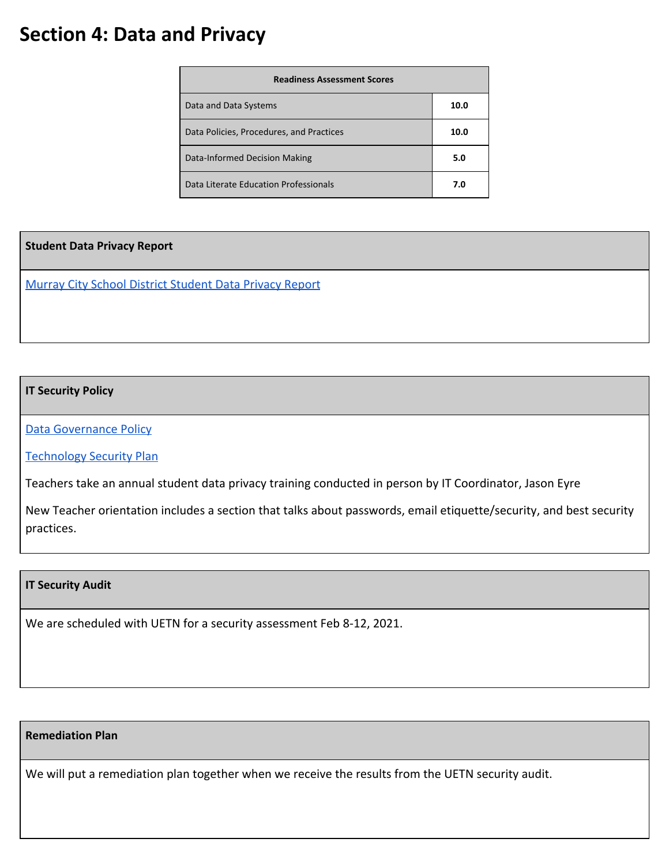## **Section 4: Data and Privacy**

| <b>Readiness Assessment Scores</b>       |      |
|------------------------------------------|------|
| Data and Data Systems                    | 10.0 |
| Data Policies, Procedures, and Practices | 10.0 |
| Data-Informed Decision Making            | 5.0  |
| Data Literate Education Professionals    | 7.0  |

**Student Data Privacy Report**

[Murray City School District Student Data Privacy Report](https://drive.google.com/file/d/1GdP-Oe6hLVsGS38Le9dNEGW_MtnuuLuO/view?usp=sharing)

### **IT Security Policy**

[Data Governance Policy](https://cdn-5b7602e2f911cb0ac41f63fa.closte.com/wp-content/uploads/2018/10/Murray-City-School-District-Data-Governance-Plan.pdf)

[Technology Security Plan](https://www.murrayschools.org/wp-content/uploads/2018/10/Murray-City-School-District-Technology-Security-Plan.pdf)

Teachers take an annual student data privacy training conducted in person by IT Coordinator, Jason Eyre

New Teacher orientation includes a section that talks about passwords, email etiquette/security, and best security practices.

#### **IT Security Audit**

We are scheduled with UETN for a security assessment Feb 8-12, 2021.

### **Remediation Plan**

We will put a remediation plan together when we receive the results from the UETN security audit.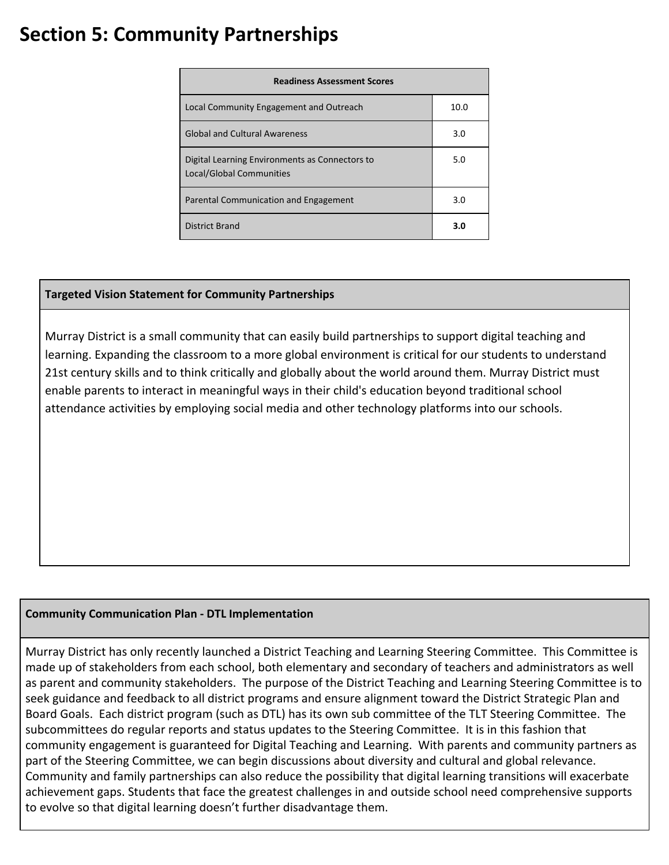## **Section 5: Community Partnerships**

| <b>Readiness Assessment Scores</b>                                                |      |
|-----------------------------------------------------------------------------------|------|
| Local Community Engagement and Outreach                                           | 10.0 |
| <b>Global and Cultural Awareness</b>                                              | 3.0  |
| Digital Learning Environments as Connectors to<br><b>Local/Global Communities</b> | 5.0  |
| Parental Communication and Engagement                                             | 3.0  |
| <b>District Brand</b>                                                             | 3.0  |

## **Targeted Vision Statement for Community Partnerships**

Murray District is a small community that can easily build partnerships to support digital teaching and learning. Expanding the classroom to a more global environment is critical for our students to understand 21st century skills and to think critically and globally about the world around them. Murray District must enable parents to interact in meaningful ways in their child's education beyond traditional school attendance activities by employing social media and other technology platforms into our schools.

## **Community Communication Plan - DTL Implementation**

Murray District has only recently launched a District Teaching and Learning Steering Committee. This Committee is made up of stakeholders from each school, both elementary and secondary of teachers and administrators as well as parent and community stakeholders. The purpose of the District Teaching and Learning Steering Committee is to seek guidance and feedback to all district programs and ensure alignment toward the District Strategic Plan and Board Goals. Each district program (such as DTL) has its own sub committee of the TLT Steering Committee. The subcommittees do regular reports and status updates to the Steering Committee. It is in this fashion that community engagement is guaranteed for Digital Teaching and Learning. With parents and community partners as part of the Steering Committee, we can begin discussions about diversity and cultural and global relevance. Community and family partnerships can also reduce the possibility that digital learning transitions will exacerbate achievement gaps. Students that face the greatest challenges in and outside school need comprehensive supports to evolve so that digital learning doesn't further disadvantage them.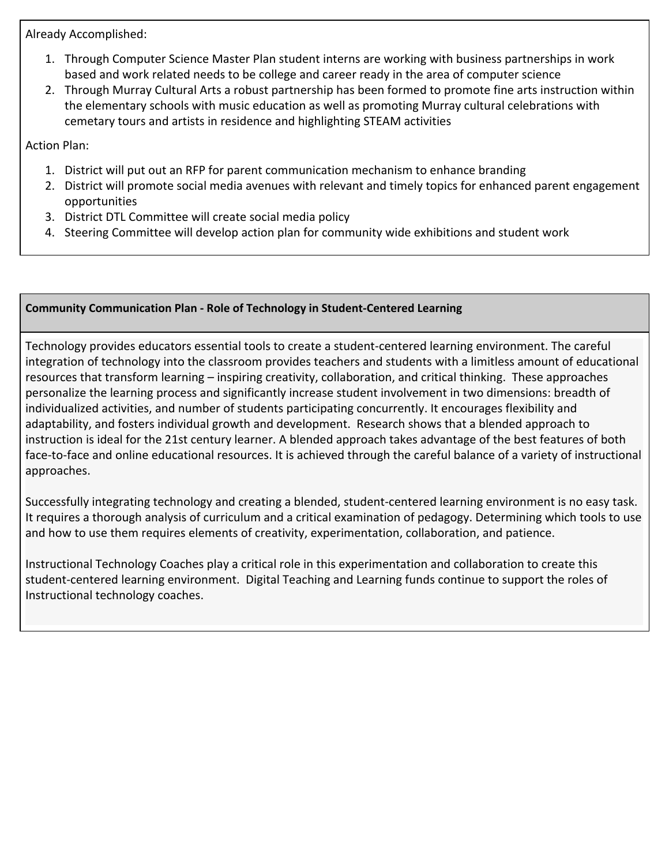Already Accomplished:

- 1. Through Computer Science Master Plan student interns are working with business partnerships in work based and work related needs to be college and career ready in the area of computer science
- 2. Through Murray Cultural Arts a robust partnership has been formed to promote fine arts instruction within the elementary schools with music education as well as promoting Murray cultural celebrations with cemetary tours and artists in residence and highlighting STEAM activities

Action Plan:

- 1. District will put out an RFP for parent communication mechanism to enhance branding
- 2. District will promote social media avenues with relevant and timely topics for enhanced parent engagement opportunities
- 3. District DTL Committee will create social media policy
- 4. Steering Committee will develop action plan for community wide exhibitions and student work

### **Community Communication Plan - Role of Technology in Student-Centered Learning**

Technology provides educators essential tools to create a student-centered learning environment. The careful integration of technology into the classroom provides teachers and students with a limitless amount of educational resources that transform learning – inspiring creativity, collaboration, and critical thinking. These approaches personalize the learning process and significantly increase student involvement in two dimensions: breadth of individualized activities, and number of students participating concurrently. It encourages flexibility and adaptability, and fosters individual growth and development. Research shows that a blended approach to instruction is ideal for the 21st century learner. A blended approach takes advantage of the best features of both face-to-face and online educational resources. It is achieved through the careful balance of a variety of instructional approaches.

Successfully integrating technology and creating a blended, student-centered learning environment is no easy task. It requires a thorough analysis of curriculum and a critical examination of pedagogy. Determining which tools to use and how to use them requires elements of creativity, experimentation, collaboration, and patience.

Instructional Technology Coaches play a critical role in this experimentation and collaboration to create this student-centered learning environment. Digital Teaching and Learning funds continue to support the roles of Instructional technology coaches.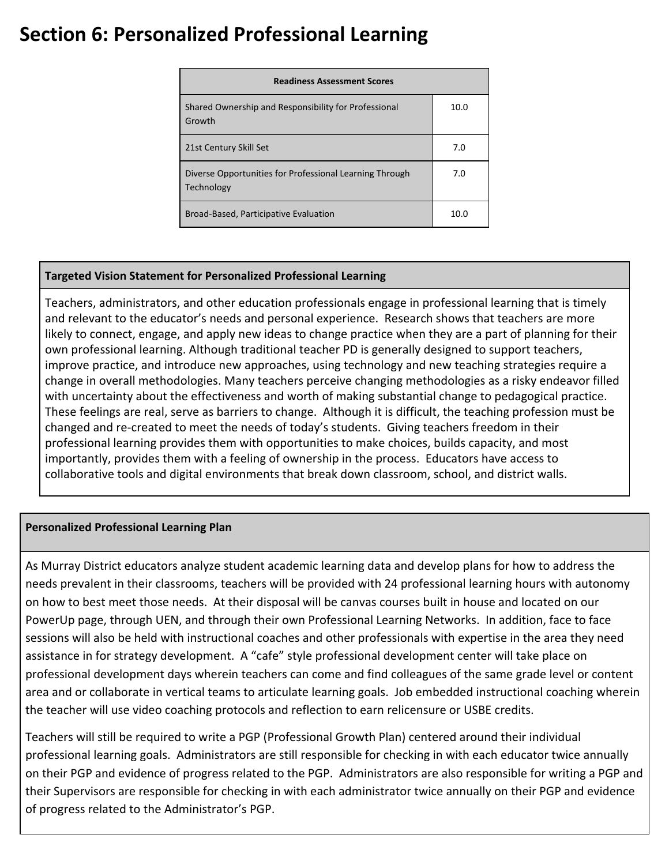## **Section 6: Personalized Professional Learning**

| <b>Readiness Assessment Scores</b>                                    |      |
|-----------------------------------------------------------------------|------|
| Shared Ownership and Responsibility for Professional<br>Growth        | 10.0 |
| 21st Century Skill Set                                                | 7.0  |
| Diverse Opportunities for Professional Learning Through<br>Technology | 7.0  |
| Broad-Based, Participative Evaluation                                 | 10.0 |

## **Targeted Vision Statement for Personalized Professional Learning**

Teachers, administrators, and other education professionals engage in professional learning that is timely and relevant to the educator's needs and personal experience. Research shows that teachers are more likely to connect, engage, and apply new ideas to change practice when they are a part of planning for their own professional learning. Although traditional teacher PD is generally designed to support teachers, improve practice, and introduce new approaches, using technology and new teaching strategies require a change in overall methodologies. Many teachers perceive changing methodologies as a risky endeavor filled with uncertainty about the effectiveness and worth of making substantial change to pedagogical practice. These feelings are real, serve as barriers to change. Although it is difficult, the teaching profession must be changed and re-created to meet the needs of today's students. Giving teachers freedom in their professional learning provides them with opportunities to make choices, builds capacity, and most importantly, provides them with a feeling of ownership in the process. Educators have access to collaborative tools and digital environments that break down classroom, school, and district walls.

### **Personalized Professional Learning Plan**

As Murray District educators analyze student academic learning data and develop plans for how to address the needs prevalent in their classrooms, teachers will be provided with 24 professional learning hours with autonomy on how to best meet those needs. At their disposal will be canvas courses built in house and located on our PowerUp page, through UEN, and through their own Professional Learning Networks. In addition, face to face sessions will also be held with instructional coaches and other professionals with expertise in the area they need assistance in for strategy development. A "cafe" style professional development center will take place on professional development days wherein teachers can come and find colleagues of the same grade level or content area and or collaborate in vertical teams to articulate learning goals. Job embedded instructional coaching wherein the teacher will use video coaching protocols and reflection to earn relicensure or USBE credits.

Teachers will still be required to write a PGP (Professional Growth Plan) centered around their individual professional learning goals. Administrators are still responsible for checking in with each educator twice annually on their PGP and evidence of progress related to the PGP. Administrators are also responsible for writing a PGP and their Supervisors are responsible for checking in with each administrator twice annually on their PGP and evidence of progress related to the Administrator's PGP.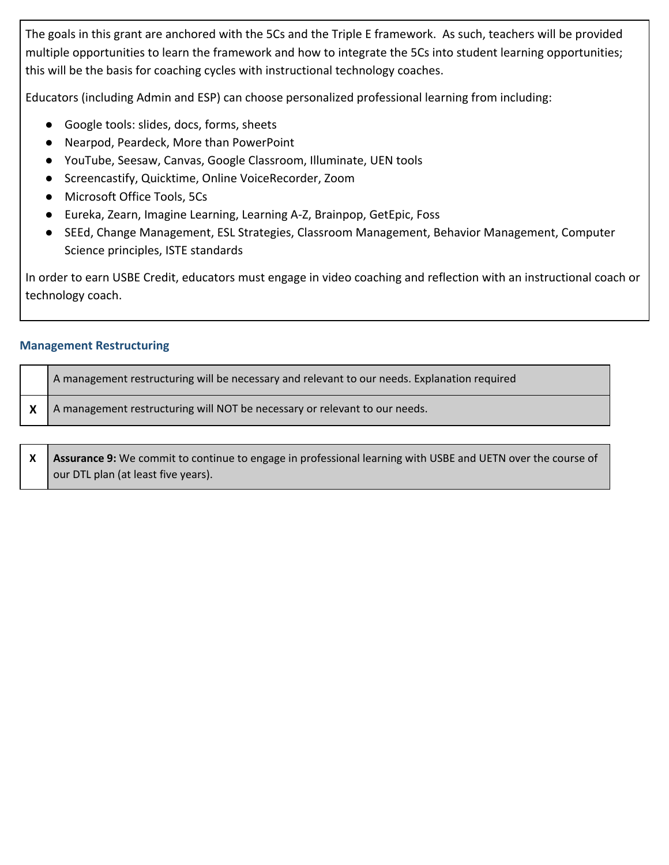The goals in this grant are anchored with the 5Cs and the Triple E framework. As such, teachers will be provided multiple opportunities to learn the framework and how to integrate the 5Cs into student learning opportunities; this will be the basis for coaching cycles with instructional technology coaches.

Educators (including Admin and ESP) can choose personalized professional learning from including:

- Google tools: slides, docs, forms, sheets
- Nearpod, Peardeck, More than PowerPoint
- YouTube, Seesaw, Canvas, Google Classroom, Illuminate, UEN tools
- Screencastify, Quicktime, Online VoiceRecorder, Zoom
- Microsoft Office Tools, 5Cs
- Eureka, Zearn, Imagine Learning, Learning A-Z, Brainpop, GetEpic, Foss
- SEEd, Change Management, ESL Strategies, Classroom Management, Behavior Management, Computer Science principles, ISTE standards

In order to earn USBE Credit, educators must engage in video coaching and reflection with an instructional coach or technology coach.

## **Management Restructuring**

| A management restructuring will be necessary and relevant to our needs. Explanation required |
|----------------------------------------------------------------------------------------------|
| A management restructuring will NOT be necessary or relevant to our needs.                   |

**X Assurance 9:** We commit to continue to engage in professional learning with USBE and UETN over the course of our DTL plan (at least five years).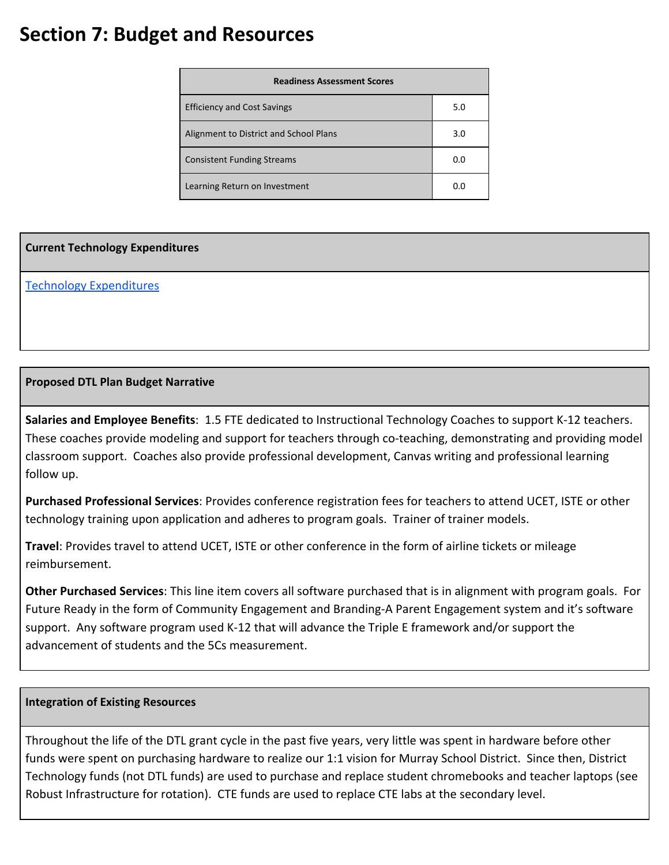## **Section 7: Budget and Resources**

| <b>Readiness Assessment Scores</b>     |     |  |  |
|----------------------------------------|-----|--|--|
| <b>Efficiency and Cost Savings</b>     | 5.0 |  |  |
| Alignment to District and School Plans | 3.0 |  |  |
| <b>Consistent Funding Streams</b>      | 0.0 |  |  |
| Learning Return on Investment          | 0.O |  |  |

### **Current Technology Expenditures**

[Technology Expenditures](https://drive.google.com/file/d/14mRUSp9kN7SkbKyqYFFsADYMIMnqJs1w/view?usp=sharing)

## **Proposed DTL Plan Budget Narrative**

**Salaries and Employee Benefits**: 1.5 FTE dedicated to Instructional Technology Coaches to support K-12 teachers. These coaches provide modeling and support for teachers through co-teaching, demonstrating and providing model classroom support. Coaches also provide professional development, Canvas writing and professional learning follow up.

**Purchased Professional Services**: Provides conference registration fees for teachers to attend UCET, ISTE or other technology training upon application and adheres to program goals. Trainer of trainer models.

**Travel**: Provides travel to attend UCET, ISTE or other conference in the form of airline tickets or mileage reimbursement.

**Other Purchased Services**: This line item covers all software purchased that is in alignment with program goals. For Future Ready in the form of Community Engagement and Branding-A Parent Engagement system and it's software support. Any software program used K-12 that will advance the Triple E framework and/or support the advancement of students and the 5Cs measurement.

### **Integration of Existing Resources**

Throughout the life of the DTL grant cycle in the past five years, very little was spent in hardware before other funds were spent on purchasing hardware to realize our 1:1 vision for Murray School District. Since then, District Technology funds (not DTL funds) are used to purchase and replace student chromebooks and teacher laptops (see Robust Infrastructure for rotation). CTE funds are used to replace CTE labs at the secondary level.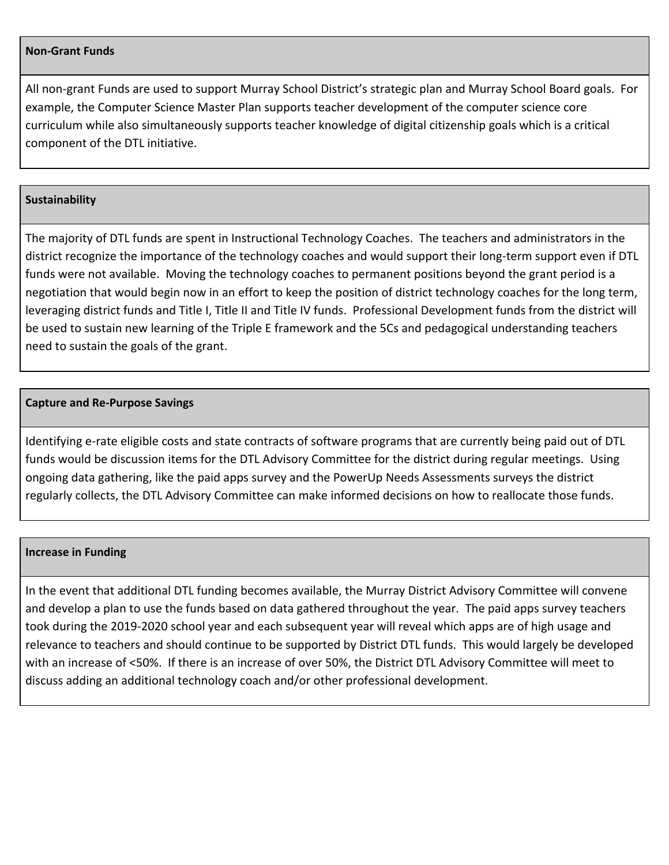#### **Non-Grant Funds**

All non-grant Funds are used to support Murray School District's strategic plan and Murray School Board goals. For example, the Computer Science Master Plan supports teacher development of the computer science core curriculum while also simultaneously supports teacher knowledge of digital citizenship goals which is a critical component of the DTL initiative.

#### **Sustainability**

The majority of DTL funds are spent in Instructional Technology Coaches. The teachers and administrators in the district recognize the importance of the technology coaches and would support their long-term support even if DTL funds were not available. Moving the technology coaches to permanent positions beyond the grant period is a negotiation that would begin now in an effort to keep the position of district technology coaches for the long term, leveraging district funds and Title I, Title II and Title IV funds. Professional Development funds from the district will be used to sustain new learning of the Triple E framework and the 5Cs and pedagogical understanding teachers need to sustain the goals of the grant.

#### **Capture and Re-Purpose Savings**

Identifying e-rate eligible costs and state contracts of software programs that are currently being paid out of DTL funds would be discussion items for the DTL Advisory Committee for the district during regular meetings. Using ongoing data gathering, like the paid apps survey and the PowerUp Needs Assessments surveys the district regularly collects, the DTL Advisory Committee can make informed decisions on how to reallocate those funds.

#### **Increase in Funding**

In the event that additional DTL funding becomes available, the Murray District Advisory Committee will convene and develop a plan to use the funds based on data gathered throughout the year. The paid apps survey teachers took during the 2019-2020 school year and each subsequent year will reveal which apps are of high usage and relevance to teachers and should continue to be supported by District DTL funds. This would largely be developed with an increase of <50%. If there is an increase of over 50%, the District DTL Advisory Committee will meet to discuss adding an additional technology coach and/or other professional development.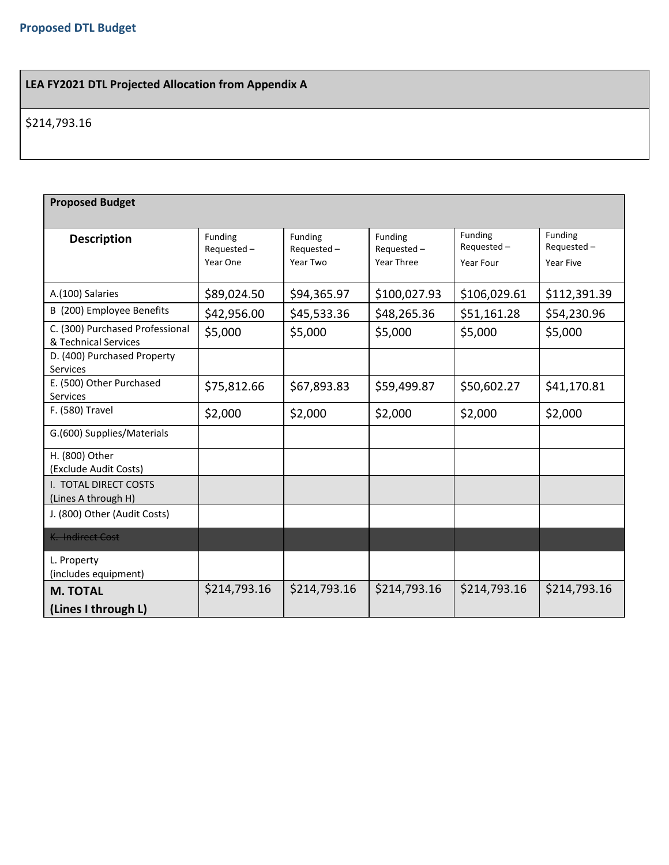## **LEA FY2021 DTL Projected Allocation from Appendix A**

## \$214,793.16

| <b>Proposed Budget</b>                                  |                                      |                                      |                                     |                                    |                                    |  |
|---------------------------------------------------------|--------------------------------------|--------------------------------------|-------------------------------------|------------------------------------|------------------------------------|--|
| <b>Description</b>                                      | Funding<br>$Requested -$<br>Year One | Funding<br>$Requested -$<br>Year Two | Funding<br>Requested-<br>Year Three | Funding<br>Requested-<br>Year Four | Funding<br>Requested-<br>Year Five |  |
| A.(100) Salaries                                        | \$89,024.50                          | \$94,365.97                          | \$100,027.93                        | \$106,029.61                       | \$112,391.39                       |  |
| B (200) Employee Benefits                               | \$42,956.00                          | \$45,533.36                          | \$48,265.36                         | \$51,161.28                        | \$54,230.96                        |  |
| C. (300) Purchased Professional<br>& Technical Services | \$5,000                              | \$5,000                              | \$5,000                             | \$5,000                            | \$5,000                            |  |
| D. (400) Purchased Property<br>Services                 |                                      |                                      |                                     |                                    |                                    |  |
| E. (500) Other Purchased<br>Services                    | \$75,812.66                          | \$67,893.83                          | \$59,499.87                         | \$50,602.27                        | \$41,170.81                        |  |
| F. (580) Travel                                         | \$2,000                              | \$2,000                              | \$2,000                             | \$2,000                            | \$2,000                            |  |
| G.(600) Supplies/Materials                              |                                      |                                      |                                     |                                    |                                    |  |
| H. (800) Other<br>(Exclude Audit Costs)                 |                                      |                                      |                                     |                                    |                                    |  |
| I. TOTAL DIRECT COSTS<br>(Lines A through H)            |                                      |                                      |                                     |                                    |                                    |  |
| J. (800) Other (Audit Costs)                            |                                      |                                      |                                     |                                    |                                    |  |
| K. Indirect Cost                                        |                                      |                                      |                                     |                                    |                                    |  |
| L. Property<br>(includes equipment)                     |                                      |                                      |                                     |                                    |                                    |  |
| <b>M. TOTAL</b>                                         | \$214,793.16                         | \$214,793.16                         | \$214,793.16                        | \$214,793.16                       | \$214,793.16                       |  |
| (Lines I through L)                                     |                                      |                                      |                                     |                                    |                                    |  |